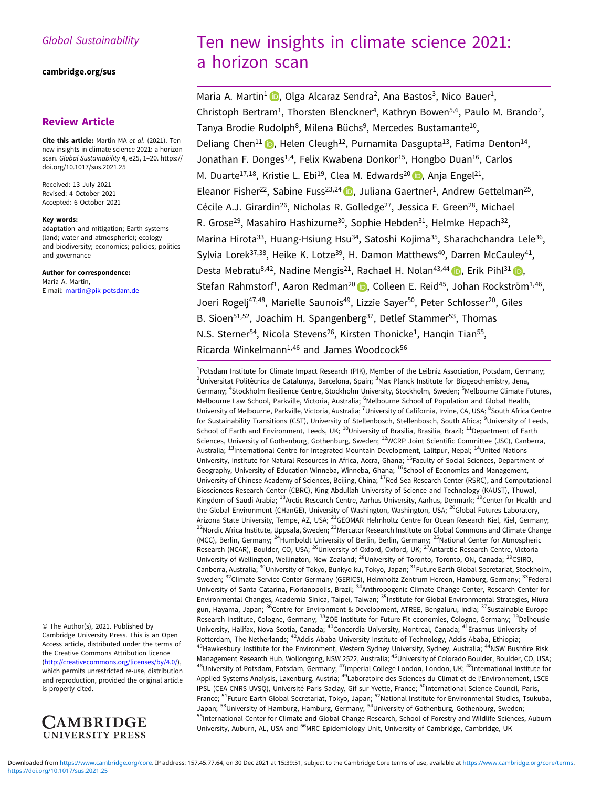# Global Sustainability

#### [cambridge.org/sus](https://www.cambridge.org/sus)

# Review Article

Cite this article: Martin MA et al. (2021). Ten new insights in climate science 2021: a horizon scan. Global Sustainability 4, e25, 1–20. [https://](https://doi.org/10.1017/sus.2021.25) [doi.org/10.1017/sus.2021.25](https://doi.org/10.1017/sus.2021.25)

Received: 13 July 2021 Revised: 4 October 2021 Accepted: 6 October 2021

#### Key words:

adaptation and mitigation; Earth systems (land; water and atmospheric); ecology and biodiversity; economics; policies; politics and governance

Author for correspondence: Maria A. Martin, E-mail: [martin@pik-potsdam.de](mailto:martin@pik-potsdam.de)

© The Author(s), 2021. Published by Cambridge University Press. This is an Open Access article, distributed under the terms of the Creative Commons Attribution licence ([http://creativecommons.org/licenses/by/4.0/\)](http://creativecommons.org/licenses/by/4.0/), which permits unrestricted re-use, distribution and reproduction, provided the original article is properly cited.



# Ten new insights in climate science 2021: a horizon scan

Maria A. Martin<sup>1</sup> **D**, Olga Alcaraz Sendra<sup>2</sup>, Ana Bastos<sup>3</sup>, Nico Bauer<sup>1</sup>, Christoph Bertram<sup>1</sup>, Thorsten Blenckner<sup>4</sup>, Kathryn Bowen<sup>5,6</sup>, Paulo M. Brando<sup>7</sup>, Tanya Brodie Rudolph<sup>8</sup>, Milena Büchs<sup>9</sup>, Mercedes Bustamante<sup>10</sup>, Deliang Chen<sup>11</sup> (D, Helen Cleugh<sup>12</sup>, Purnamita Dasgupta<sup>13</sup>, Fatima Denton<sup>14</sup>, Jonathan F. Donges<sup>1,4</sup>, Felix Kwabena Donkor<sup>15</sup>, Hongbo Duan<sup>16</sup>, Carlos M. Duarte<sup>17,18</sup>, Kristie L. Ebi<sup>19</sup>, Clea M. Edwards<sup>20</sup>  $\bullet$ , Anja Engel<sup>21</sup>, Eleanor Fisher<sup>22</sup>, Sabine Fuss<sup>23,24</sup> D, Juliana Gaertner<sup>1</sup>, Andrew Gettelman<sup>25</sup>, Cécile A.J. Girardin<sup>26</sup>, Nicholas R. Golledge<sup>27</sup>, Jessica F. Green<sup>28</sup>, Michael R. Grose<sup>29</sup>, Masahiro Hashizume<sup>30</sup>, Sophie Hebden<sup>31</sup>, Helmke Hepach<sup>32</sup>, Marina Hirota<sup>33</sup>, Huang-Hsiung Hsu<sup>34</sup>, Satoshi Kojima<sup>35</sup>, Sharachchandra Lele<sup>36</sup>, Sylvia Lorek<sup>37,38</sup>, Heike K. Lotze<sup>39</sup>, H. Damon Matthews<sup>40</sup>, Darren McCauley<sup>41</sup>, Desta Mebratu<sup>8[,](https://orcid.org/0000-0002-2728-6382)42</sup>, Nadine Mengis<sup>21</sup>, Rachael H. Nolan<sup>43,44</sup>  $\bullet$ , Erik Pihl<sup>31</sup>  $\bullet$ , Stefan Rahmstorf<sup>1</sup>[,](https://orcid.org/0000-0002-8893-569X) Aaron Redman<sup>20</sup> D, Colleen E. Reid<sup>45</sup>, Johan Rockström<sup>1,46</sup>, Joeri Rogelj<sup>47,48</sup>, Marielle Saunois<sup>49</sup>, Lizzie Sayer<sup>50</sup>, Peter Schlosser<sup>20</sup>, Giles B. Sioen<sup>51,52</sup>, Joachim H. Spangenberg<sup>37</sup>, Detlef Stammer<sup>53</sup>, Thomas N.S. Sterner<sup>54</sup>, Nicola Stevens<sup>26</sup>, Kirsten Thonicke<sup>1</sup>, Hanqin Tian<sup>55</sup>, Ricarda Winkelmann $1,46$  and James Woodcock $56$ 

<sup>1</sup>Potsdam Institute for Climate Impact Research (PIK), Member of the Leibniz Association, Potsdam, Germany; <sup>2</sup>Universitat Politècnica de Catalunya, Barcelona, Spain; <sup>3</sup>Max Planck Institute for Biogeochemistry, Jena, Germany; <sup>4</sup>Stockholm Resilience Centre, Stockholm University, Stockholm, Sweden; <sup>5</sup>Melbourne Climate Futures, Melbourne Law School, Parkville, Victoria, Australia; <sup>6</sup>Melbourne School of Population and Global Health, University of Melbourne, Parkville, Victoria, Australia; <sup>7</sup>University of California, Irvine, CA, USA; <sup>8</sup>South Africa Centre for Sustainability Transitions (CST), University of Stellenbosch, Stellenbosch, South Africa; <sup>9</sup>University of Leeds, School of Earth and Environment, Leeds, UK; <sup>10</sup>University of Brasilia, Brasilia, Brazil; <sup>11</sup>Department of Earth Sciences, University of Gothenburg, Gothenburg, Sweden; <sup>12</sup>WCRP Joint Scientific Committee (JSC), Canberra, Australia; <sup>13</sup>International Centre for Integrated Mountain Development, Lalitpur, Nepal; <sup>14</sup>United Nations University, Institute for Natural Resources in Africa, Accra, Ghana; 15Faculty of Social Sciences, Department of Geography, University of Education-Winneba, Winneba, Ghana; <sup>16</sup>School of Economics and Management, University of Chinese Academy of Sciences, Beijing, China; 17Red Sea Research Center (RSRC), and Computational Biosciences Research Center (CBRC), King Abdullah University of Science and Technology (KAUST), Thuwal, Kingdom of Saudi Arabia; <sup>18</sup>Arctic Research Centre, Aarhus University, Aarhus, Denmark; <sup>19</sup>Center for Health and the Global Environment (CHanGE), University of Washington, Washington, USA; <sup>20</sup>Global Futures Laboratory, Arizona State University, Tempe, AZ, USA; <sup>21</sup>GEOMAR Helmholtz Centre for Ocean Research Kiel, Kiel, Germany;  $^{22}$ Nordic Africa Institute, Uppsala, Sweden;  $^{23}$ Mercator Research Institute on Global Commons and Climate Change (MCC), Berlin, Germany; <sup>24</sup>Humboldt University of Berlin, Berlin, Germany; <sup>25</sup>National Center for Atmospheric Research (NCAR), Boulder, CO, USA; <sup>26</sup>University of Oxford, Oxford, UK; <sup>27</sup>Antarctic Research Centre, Victoria University of Wellington, Wellington, New Zealand; <sup>28</sup>University of Toronto, Toronto, ON, Canada; <sup>29</sup>CSIRO, Canberra, Australia; <sup>30</sup>University of Tokyo, Bunkyo-ku, Tokyo, Japan; <sup>31</sup>Future Earth Global Secretariat, Stockholm, Sweden; <sup>32</sup>Climate Service Center Germany (GERICS), Helmholtz-Zentrum Hereon, Hamburg, Germany; <sup>33</sup>Federal University of Santa Catarina, Florianopolis, Brazil; <sup>34</sup>Anthropogenic Climate Change Center, Research Center for Environmental Changes, Academia Sinica, Taipei, Taiwan; <sup>35</sup>Institute for Global Environmental Strategies, Miuragun, Hayama, Japan; <sup>36</sup>Centre for Environment & Development, ATREE, Bengaluru, India; <sup>37</sup>Sustainable Europe Research Institute, Cologne, Germany; <sup>38</sup>ZOE Institute for Future-Fit economies, Cologne, Germany; <sup>39</sup>Dalhousie University, Halifax, Nova Scotia, Canada; 40Concordia University, Montreal, Canada; 41Erasmus University of Rotterdam, The Netherlands; 42Addis Ababa University Institute of Technology, Addis Ababa, Ethiopia;  $^{43}$ Hawkesbury Institute for the Environment, Western Sydney University, Sydney, Australia;  $^{44}$ NSW Bushfire Risk Management Research Hub, Wollongong, NSW 2522, Australia; <sup>45</sup>University of Colorado Boulder, Boulder, CO, USA; <sup>46</sup>University of Potsdam, Potsdam, Germany; <sup>47</sup>Imperial College London, London, UK; <sup>48</sup>International Institute for Applied Systems Analysis, Laxenburg, Austria; <sup>49</sup>Laboratoire des Sciences du Climat et de l'Environnement, LSCE-IPSL (CEA-CNRS-UVSQ), Université Paris-Saclay, Gif sur Yvette, France; <sup>50</sup>International Science Council, Paris, France; <sup>51</sup>Future Earth Global Secretariat, Tokyo, Japan; <sup>52</sup>National Institute for Environmental Studies, Tsukuba, Japan; <sup>53</sup>University of Hamburg, Hamburg, Germany; <sup>54</sup>University of Gothenburg, Gothenburg, Sweden; 55International Center for Climate and Global Change Research, School of Forestry and Wildlife Sciences, Auburn University, Auburn, AL, USA and <sup>56</sup>MRC Epidemiology Unit, University of Cambridge, Cambridge, UK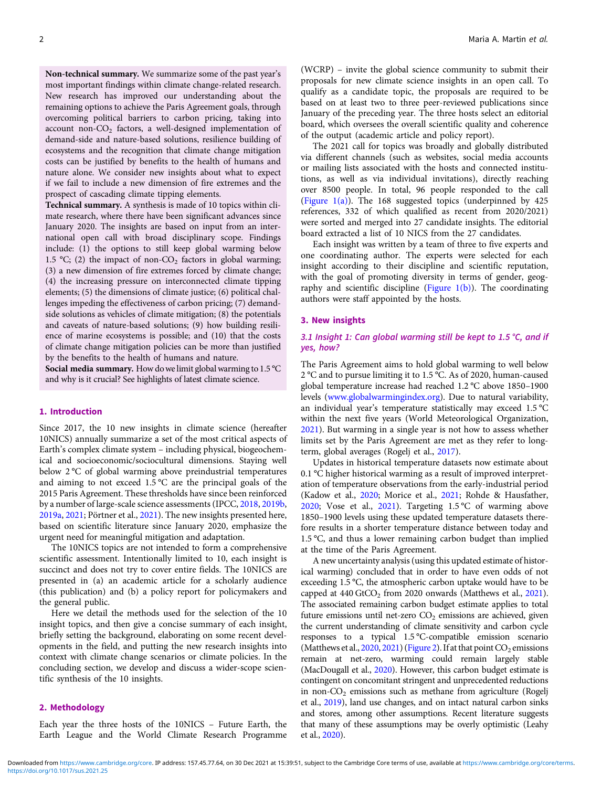Non-technical summary. We summarize some of the past year's most important findings within climate change-related research. New research has improved our understanding about the remaining options to achieve the Paris Agreement goals, through overcoming political barriers to carbon pricing, taking into account non- $CO<sub>2</sub>$  factors, a well-designed implementation of demand-side and nature-based solutions, resilience building of ecosystems and the recognition that climate change mitigation costs can be justified by benefits to the health of humans and nature alone. We consider new insights about what to expect if we fail to include a new dimension of fire extremes and the prospect of cascading climate tipping elements.

Technical summary. A synthesis is made of 10 topics within climate research, where there have been significant advances since January 2020. The insights are based on input from an international open call with broad disciplinary scope. Findings include: (1) the options to still keep global warming below 1.5 °C; (2) the impact of non-CO<sub>2</sub> factors in global warming; (3) a new dimension of fire extremes forced by climate change; (4) the increasing pressure on interconnected climate tipping elements; (5) the dimensions of climate justice; (6) political challenges impeding the effectiveness of carbon pricing; (7) demandside solutions as vehicles of climate mitigation; (8) the potentials and caveats of nature-based solutions; (9) how building resilience of marine ecosystems is possible; and (10) that the costs of climate change mitigation policies can be more than justified by the benefits to the health of humans and nature.

Social media summary. How dowe limit global warming to 1.5 °C and why is it crucial? See highlights of latest climate science.

#### 1. Introduction

Since 2017, the 10 new insights in climate science (hereafter 10NICS) annually summarize a set of the most critical aspects of Earth's complex climate system – including physical, biogeochemical and socioeconomic/sociocultural dimensions. Staying well below 2 °C of global warming above preindustrial temperatures and aiming to not exceed 1.5 °C are the principal goals of the 2015 Paris Agreement. These thresholds have since been reinforced by a number of large-scale science assessments (IPCC, [2018](#page-15-0), [2019b](#page-15-0), [2019a](#page-15-0), [2021](#page-15-0); Pörtner et al., [2021](#page-17-0)). The new insights presented here, based on scientific literature since January 2020, emphasize the urgent need for meaningful mitigation and adaptation.

The 10NICS topics are not intended to form a comprehensive scientific assessment. Intentionally limited to 10, each insight is succinct and does not try to cover entire fields. The 10NICS are presented in (a) an academic article for a scholarly audience (this publication) and (b) a policy report for policymakers and the general public.

Here we detail the methods used for the selection of the 10 insight topics, and then give a concise summary of each insight, briefly setting the background, elaborating on some recent developments in the field, and putting the new research insights into context with climate change scenarios or climate policies. In the concluding section, we develop and discuss a wider-scope scientific synthesis of the 10 insights.

#### 2. Methodology

Each year the three hosts of the 10NICS – Future Earth, the Earth League and the World Climate Research Programme

(WCRP) – invite the global science community to submit their proposals for new climate science insights in an open call. To qualify as a candidate topic, the proposals are required to be based on at least two to three peer-reviewed publications since January of the preceding year. The three hosts select an editorial board, which oversees the overall scientific quality and coherence of the output (academic article and policy report).

The 2021 call for topics was broadly and globally distributed via different channels (such as websites, social media accounts or mailing lists associated with the hosts and connected institutions, as well as via individual invitations), directly reaching over 8500 people. In total, 96 people responded to the call (Figure  $1(a)$ ). The 168 suggested topics (underpinned by 425 references, 332 of which qualified as recent from 2020/2021) were sorted and merged into 27 candidate insights. The editorial board extracted a list of 10 NICS from the 27 candidates.

Each insight was written by a team of three to five experts and one coordinating author. The experts were selected for each insight according to their discipline and scientific reputation, with the goal of promoting diversity in terms of gender, geography and scientific discipline (Figure  $1(b)$ ). The coordinating authors were staff appointed by the hosts.

#### 3. New insights

#### 3.1 Insight 1: Can global warming still be kept to 1.5 °C, and if yes, how?

The Paris Agreement aims to hold global warming to well below 2 °C and to pursue limiting it to 1.5 °C. As of 2020, human-caused global temperature increase had reached 1.2 °C above 1850–1900 levels [\(www.globalwarmingindex.org](#page-19-0)). Due to natural variability, an individual year's temperature statistically may exceed 1.5 °C within the next five years (World Meteorological Organization, [2021\)](#page-19-0). But warming in a single year is not how to assess whether limits set by the Paris Agreement are met as they refer to longterm, global averages (Rogelj et al., [2017](#page-17-0)).

Updates in historical temperature datasets now estimate about 0.1 °C higher historical warming as a result of improved interpretation of temperature observations from the early-industrial period (Kadow et al., [2020](#page-15-0); Morice et al., [2021;](#page-16-0) Rohde & Hausfather, [2020;](#page-17-0) Vose et al., [2021](#page-19-0)). Targeting 1.5 °C of warming above 1850–1900 levels using these updated temperature datasets therefore results in a shorter temperature distance between today and 1.5 °C, and thus a lower remaining carbon budget than implied at the time of the Paris Agreement.

A new uncertainty analysis (using this updated estimate of historical warming) concluded that in order to have even odds of not exceeding 1.5 °C, the atmospheric carbon uptake would have to be capped at  $440 \text{ GtCO}_2$  from 2020 onwards (Matthews et al., [2021](#page-16-0)). The associated remaining carbon budget estimate applies to total future emissions until net-zero  $CO<sub>2</sub>$  emissions are achieved, given the current understanding of climate sensitivity and carbon cycle responses to a typical 1.5 °C-compatible emission scenario (Matthews et al., [2020,](#page-16-0) [2021\)](#page-16-0) ([Figure 2](#page-3-0)). If at that point  $CO_2$  emissions remain at net-zero, warming could remain largely stable (MacDougall et al., [2020](#page-16-0)). However, this carbon budget estimate is contingent on concomitant stringent and unprecedented reductions in non- $CO<sub>2</sub>$  emissions such as methane from agriculture (Rogelj et al., [2019](#page-17-0)), land use changes, and on intact natural carbon sinks and stores, among other assumptions. Recent literature suggests that many of these assumptions may be overly optimistic (Leahy et al., [2020\)](#page-16-0).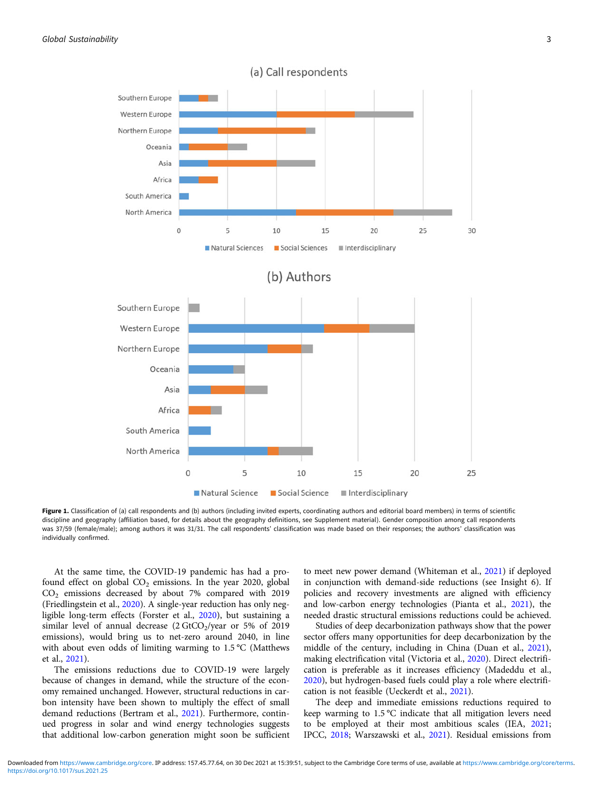<span id="page-2-0"></span>

Figure 1. Classification of (a) call respondents and (b) authors (including invited experts, coordinating authors and editorial board members) in terms of scientific discipline and geography (affiliation based, for details about the geography definitions, see Supplement material). Gender composition among call respondents was 37/59 (female/male); among authors it was 31/31. The call respondents' classification was made based on their responses; the authors' classification was individually confirmed.

At the same time, the COVID-19 pandemic has had a profound effect on global  $CO<sub>2</sub>$  emissions. In the year 2020, global CO2 emissions decreased by about 7% compared with 2019 (Friedlingstein et al., [2020](#page-14-0)). A single-year reduction has only negligible long-term effects (Forster et al., [2020](#page-14-0)), but sustaining a similar level of annual decrease  $(2 \text{ GtCO}_2/\text{year})$  or 5% of 2019 emissions), would bring us to net-zero around 2040, in line with about even odds of limiting warming to 1.5 °C (Matthews et al., [2021\)](#page-16-0).

The emissions reductions due to COVID-19 were largely because of changes in demand, while the structure of the economy remained unchanged. However, structural reductions in carbon intensity have been shown to multiply the effect of small demand reductions (Bertram et al., [2021](#page-13-0)). Furthermore, continued progress in solar and wind energy technologies suggests that additional low-carbon generation might soon be sufficient

to meet new power demand (Whiteman et al., [2021\)](#page-19-0) if deployed in conjunction with demand-side reductions (see Insight 6). If policies and recovery investments are aligned with efficiency and low-carbon energy technologies (Pianta et al., [2021](#page-17-0)), the needed drastic structural emissions reductions could be achieved.

Studies of deep decarbonization pathways show that the power sector offers many opportunities for deep decarbonization by the middle of the century, including in China (Duan et al., [2021](#page-14-0)), making electrification vital (Victoria et al., [2020](#page-19-0)). Direct electrification is preferable as it increases efficiency (Madeddu et al., [2020](#page-16-0)), but hydrogen-based fuels could play a role where electrification is not feasible (Ueckerdt et al., [2021\)](#page-18-0).

The deep and immediate emissions reductions required to keep warming to 1.5 °C indicate that all mitigation levers need to be employed at their most ambitious scales (IEA, [2021](#page-15-0); IPCC, [2018](#page-15-0); Warszawski et al., [2021\)](#page-19-0). Residual emissions from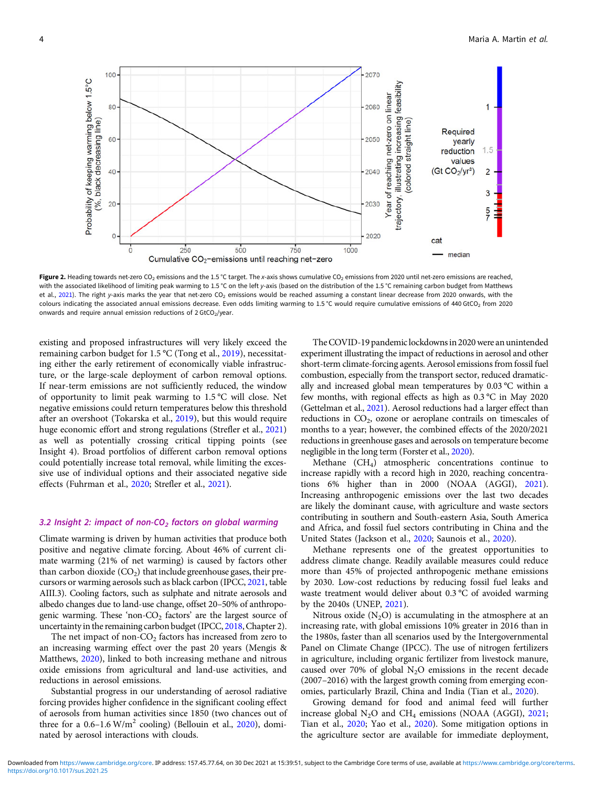<span id="page-3-0"></span>

Figure 2. Heading towards net-zero CO<sub>2</sub> emissions and the 1.5 °C target. The x-axis shows cumulative CO<sub>2</sub> emissions from 2020 until net-zero emissions are reached, with the associated likelihood of limiting peak warming to 1.5 °C on the left y-axis (based on the distribution of the 1.5 °C remaining carbon budget from Matthews et al., [2021\)](#page-16-0). The right y-axis marks the year that net-zero CO<sub>2</sub> emissions would be reached assuming a constant linear decrease from 2020 onwards, with the colours indicating the associated annual emissions decrease. Even odds limiting warming to 1.5 °C would require cumulative emissions of 440 GtCO<sub>2</sub> from 2020 onwards and require annual emission reductions of  $2 \text{ GtCO}_2$ /year.

existing and proposed infrastructures will very likely exceed the remaining carbon budget for 1.5 °C (Tong et al., [2019\)](#page-18-0), necessitating either the early retirement of economically viable infrastructure, or the large-scale deployment of carbon removal options. If near-term emissions are not sufficiently reduced, the window of opportunity to limit peak warming to 1.5 °C will close. Net negative emissions could return temperatures below this threshold after an overshoot (Tokarska et al., [2019](#page-18-0)), but this would require huge economic effort and strong regulations (Strefler et al., [2021\)](#page-18-0) as well as potentially crossing critical tipping points (see Insight 4). Broad portfolios of different carbon removal options could potentially increase total removal, while limiting the excessive use of individual options and their associated negative side effects (Fuhrman et al., [2020](#page-14-0); Strefler et al., [2021\)](#page-18-0).

#### 3.2 Insight 2: impact of non-CO<sub>2</sub> factors on global warming

Climate warming is driven by human activities that produce both positive and negative climate forcing. About 46% of current climate warming (21% of net warming) is caused by factors other than carbon dioxide  $(CO<sub>2</sub>)$  that include greenhouse gases, their precursors or warming aerosols such as black carbon (IPCC, [2021](#page-15-0), table AIII.3). Cooling factors, such as sulphate and nitrate aerosols and albedo changes due to land-use change, offset 20–50% of anthropogenic warming. These 'non- $CO<sub>2</sub>$  factors' are the largest source of uncertainty in the remaining carbon budget (IPCC, [2018](#page-15-0), Chapter 2).

The net impact of non- $CO<sub>2</sub>$  factors has increased from zero to an increasing warming effect over the past 20 years (Mengis & Matthews, [2020](#page-16-0)), linked to both increasing methane and nitrous oxide emissions from agricultural and land-use activities, and reductions in aerosol emissions.

Substantial progress in our understanding of aerosol radiative forcing provides higher confidence in the significant cooling effect of aerosols from human activities since 1850 (two chances out of three for a  $0.6-1.6$  W/m<sup>2</sup> cooling) (Bellouin et al., [2020\)](#page-13-0), dominated by aerosol interactions with clouds.

The COVID-19 pandemic lockdowns in 2020 were an unintended experiment illustrating the impact of reductions in aerosol and other short-term climate-forcing agents. Aerosol emissions from fossil fuel combustion, especially from the transport sector, reduced dramatically and increased global mean temperatures by 0.03 °C within a few months, with regional effects as high as 0.3 °C in May 2020 (Gettelman et al., [2021\)](#page-14-0). Aerosol reductions had a larger effect than reductions in  $CO<sub>2</sub>$ , ozone or aeroplane contrails on timescales of months to a year; however, the combined effects of the 2020/2021 reductions in greenhouse gases and aerosols on temperature become negligible in the long term (Forster et al., [2020\)](#page-14-0).

Methane (CH<sub>4</sub>) atmospheric concentrations continue to increase rapidly with a record high in 2020, reaching concentrations 6% higher than in 2000 (NOAA (AGGI), [2021](#page-17-0)). Increasing anthropogenic emissions over the last two decades are likely the dominant cause, with agriculture and waste sectors contributing in southern and South-eastern Asia, South America and Africa, and fossil fuel sectors contributing in China and the United States (Jackson et al., [2020](#page-15-0); Saunois et al., [2020](#page-18-0)).

Methane represents one of the greatest opportunities to address climate change. Readily available measures could reduce more than 45% of projected anthropogenic methane emissions by 2030. Low-cost reductions by reducing fossil fuel leaks and waste treatment would deliver about 0.3 °C of avoided warming by the 2040s (UNEP, [2021\)](#page-18-0).

Nitrous oxide  $(N_2O)$  is accumulating in the atmosphere at an increasing rate, with global emissions 10% greater in 2016 than in the 1980s, faster than all scenarios used by the Intergovernmental Panel on Climate Change (IPCC). The use of nitrogen fertilizers in agriculture, including organic fertilizer from livestock manure, caused over 70% of global  $N_2O$  emissions in the recent decade (2007–2016) with the largest growth coming from emerging economies, particularly Brazil, China and India (Tian et al., [2020\)](#page-18-0).

Growing demand for food and animal feed will further increase global  $N_2O$  and  $CH_4$  emissions (NOAA (AGGI), [2021;](#page-17-0) Tian et al., [2020](#page-18-0); Yao et al., [2020\)](#page-19-0). Some mitigation options in the agriculture sector are available for immediate deployment,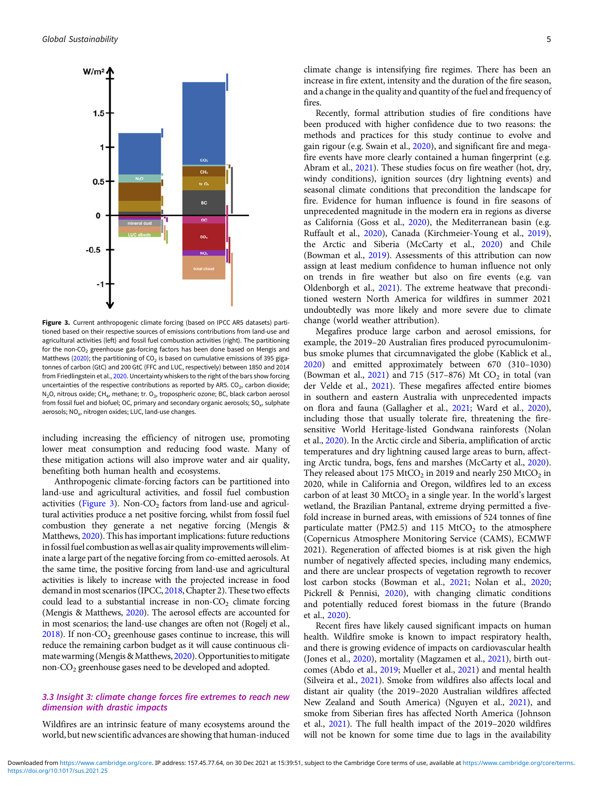

Figure 3. Current anthropogenic climate forcing (based on IPCC AR5 datasets) partitioned based on their respective sources of emissions contributions from land-use and agricultural activities (left) and fossil fuel combustion activities (right). The partitioning for the non-CO<sub>2</sub> greenhouse gas-forcing factors has been done based on Mengis and Matthews [\(2020](#page-16-0)); the partitioning of  $CO<sub>2</sub>$  is based on cumulative emissions of 395 gigatonnes of carbon (GtC) and 200 GtC (FFC and LUC, respectively) between 1850 and 2014 from Friedlingstein et al., [2020.](#page-14-0) Uncertainty whiskers to the right of the bars show forcing uncertainties of the respective contributions as reported by AR5.  $CO<sub>2</sub>$ , carbon dioxide; N<sub>2</sub>O, nitrous oxide; CH<sub>4</sub>, methane; tr. O<sub>3</sub>, tropospheric ozone; BC, black carbon aerosol from fossil fuel and biofuel; OC, primary and secondary organic aerosols; SO<sub>x</sub>, sulphate aerosols; NO<sub>x</sub>, nitrogen oxides; LUC, land-use changes.

including increasing the efficiency of nitrogen use, promoting lower meat consumption and reducing food waste. Many of these mitigation actions will also improve water and air quality, benefiting both human health and ecosystems.

Anthropogenic climate-forcing factors can be partitioned into land-use and agricultural activities, and fossil fuel combustion activities (Figure 3). Non-CO<sub>2</sub> factors from land-use and agricultural activities produce a net positive forcing, whilst from fossil fuel combustion they generate a net negative forcing (Mengis & Matthews, [2020](#page-16-0)). This has important implications: future reductions in fossil fuel combustion as well as air quality improvements will eliminate a large part of the negative forcing from co-emitted aerosols. At the same time, the positive forcing from land-use and agricultural activities is likely to increase with the projected increase in food demand in most scenarios (IPCC, [2018,](#page-15-0) Chapter 2). These two effects could lead to a substantial increase in non- $CO<sub>2</sub>$  climate forcing (Mengis & Matthews, [2020\)](#page-16-0). The aerosol effects are accounted for in most scenarios; the land-use changes are often not (Rogelj et al.,  $2018$ ). If non-CO<sub>2</sub> greenhouse gases continue to increase, this will reduce the remaining carbon budget as it will cause continuous cli-mate warming (Mengis & Matthews, [2020](#page-16-0)). Opportunities to mitigate non-CO2 greenhouse gases need to be developed and adopted.

# 3.3 Insight 3: climate change forces fire extremes to reach new dimension with drastic impacts

Wildfires are an intrinsic feature of many ecosystems around the world, but new scientific advances are showing that human-induced climate change is intensifying fire regimes. There has been an increase in fire extent, intensity and the duration of the fire season, and a change in the quality and quantity of the fuel and frequency of fires.

Recently, formal attribution studies of fire conditions have been produced with higher confidence due to two reasons: the methods and practices for this study continue to evolve and gain rigour (e.g. Swain et al., [2020](#page-18-0)), and significant fire and megafire events have more clearly contained a human fingerprint (e.g. Abram et al., [2021](#page-12-0)). These studies focus on fire weather (hot, dry, windy conditions), ignition sources (dry lightning events) and seasonal climate conditions that precondition the landscape for fire. Evidence for human influence is found in fire seasons of unprecedented magnitude in the modern era in regions as diverse as California (Goss et al., [2020](#page-14-0)), the Mediterranean basin (e.g. Ruffault et al., [2020](#page-17-0)), Canada (Kirchmeier-Young et al., [2019](#page-16-0)), the Arctic and Siberia (McCarty et al., [2020\)](#page-16-0) and Chile (Bowman et al., [2019\)](#page-13-0). Assessments of this attribution can now assign at least medium confidence to human influence not only on trends in fire weather but also on fire events (e.g. van Oldenborgh et al., [2021\)](#page-18-0). The extreme heatwave that preconditioned western North America for wildfires in summer 2021 undoubtedly was more likely and more severe due to climate change (world weather attribution).

Megafires produce large carbon and aerosol emissions, for example, the 2019–20 Australian fires produced pyrocumulonimbus smoke plumes that circumnavigated the globe (Kablick et al., [2020](#page-15-0)) and emitted approximately between 670 (310–1030) (Bowman et al.,  $2021$ ) and 715 (517–876) Mt  $CO<sub>2</sub>$  in total (van der Velde et al., [2021\)](#page-18-0). These megafires affected entire biomes in southern and eastern Australia with unprecedented impacts on flora and fauna (Gallagher et al., [2021;](#page-14-0) Ward et al., [2020](#page-19-0)), including those that usually tolerate fire, threatening the firesensitive World Heritage-listed Gondwana rainforests (Nolan et al., [2020](#page-17-0)). In the Arctic circle and Siberia, amplification of arctic temperatures and dry lightning caused large areas to burn, affecting Arctic tundra, bogs, fens and marshes (McCarty et al., [2020](#page-16-0)). They released about 175 MtCO<sub>2</sub> in 2019 and nearly 250 MtCO<sub>2</sub> in 2020, while in California and Oregon, wildfires led to an excess carbon of at least 30  $MtCO<sub>2</sub>$  in a single year. In the world's largest wetland, the Brazilian Pantanal, extreme drying permitted a fivefold increase in burned areas, with emissions of 524 tonnes of fine particulate matter (PM2.5) and 115 MtCO<sub>2</sub> to the atmosphere (Copernicus Atmosphere Monitoring Service (CAMS), ECMWF 2021). Regeneration of affected biomes is at risk given the high number of negatively affected species, including many endemics, and there are unclear prospects of vegetation regrowth to recover lost carbon stocks (Bowman et al., [2021;](#page-13-0) Nolan et al., [2020](#page-17-0); Pickrell & Pennisi, [2020](#page-17-0)), with changing climatic conditions and potentially reduced forest biomass in the future (Brando et al., [2020](#page-13-0)).

Recent fires have likely caused significant impacts on human health. Wildfire smoke is known to impact respiratory health, and there is growing evidence of impacts on cardiovascular health (Jones et al., [2020](#page-15-0)), mortality (Magzamen et al., [2021\)](#page-16-0), birth outcomes (Abdo et al., [2019](#page-12-0); Mueller et al., [2021\)](#page-16-0) and mental health (Silveira et al., [2021\)](#page-18-0). Smoke from wildfires also affects local and distant air quality (the 2019–2020 Australian wildfires affected New Zealand and South America) (Nguyen et al., [2021](#page-17-0)), and smoke from Siberian fires has affected North America (Johnson et al., [2021\)](#page-15-0). The full health impact of the 2019–2020 wildfires will not be known for some time due to lags in the availability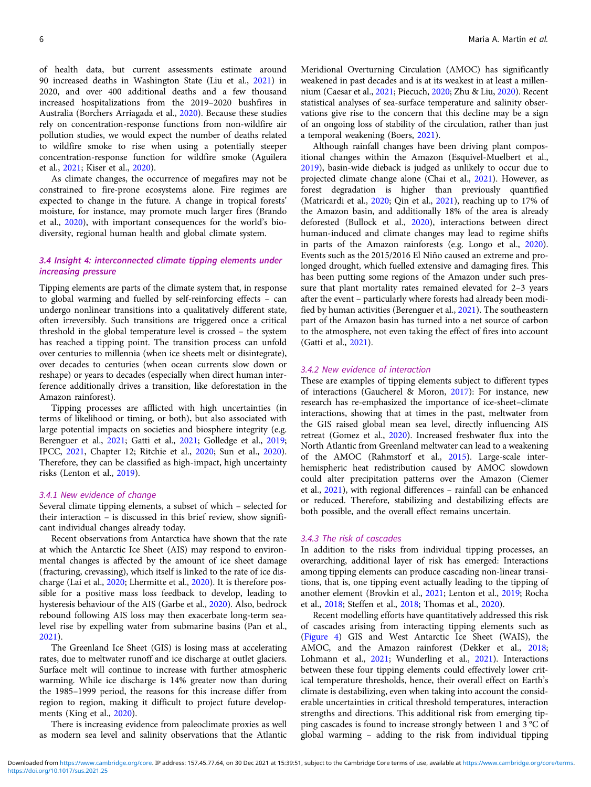of health data, but current assessments estimate around 90 increased deaths in Washington State (Liu et al., [2021\)](#page-16-0) in 2020, and over 400 additional deaths and a few thousand increased hospitalizations from the 2019–2020 bushfires in Australia (Borchers Arriagada et al., [2020](#page-13-0)). Because these studies rely on concentration-response functions from non-wildfire air pollution studies, we would expect the number of deaths related to wildfire smoke to rise when using a potentially steeper concentration-response function for wildfire smoke (Aguilera et al., [2021;](#page-12-0) Kiser et al., [2020\)](#page-16-0).

As climate changes, the occurrence of megafires may not be constrained to fire-prone ecosystems alone. Fire regimes are expected to change in the future. A change in tropical forests' moisture, for instance, may promote much larger fires (Brando et al., [2020](#page-13-0)), with important consequences for the world's biodiversity, regional human health and global climate system.

# 3.4 Insight 4: interconnected climate tipping elements under increasing pressure

Tipping elements are parts of the climate system that, in response to global warming and fuelled by self-reinforcing effects – can undergo nonlinear transitions into a qualitatively different state, often irreversibly. Such transitions are triggered once a critical threshold in the global temperature level is crossed – the system has reached a tipping point. The transition process can unfold over centuries to millennia (when ice sheets melt or disintegrate), over decades to centuries (when ocean currents slow down or reshape) or years to decades (especially when direct human interference additionally drives a transition, like deforestation in the Amazon rainforest).

Tipping processes are afflicted with high uncertainties (in terms of likelihood or timing, or both), but also associated with large potential impacts on societies and biosphere integrity (e.g. Berenguer et al., [2021](#page-13-0); Gatti et al., [2021](#page-14-0); Golledge et al., [2019](#page-14-0); IPCC, [2021,](#page-15-0) Chapter 12; Ritchie et al., [2020](#page-17-0); Sun et al., [2020\)](#page-18-0). Therefore, they can be classified as high-impact, high uncertainty risks (Lenton et al., [2019\)](#page-16-0).

#### 3.4.1 New evidence of change

Several climate tipping elements, a subset of which – selected for their interaction – is discussed in this brief review, show significant individual changes already today.

Recent observations from Antarctica have shown that the rate at which the Antarctic Ice Sheet (AIS) may respond to environmental changes is affected by the amount of ice sheet damage (fracturing, crevassing), which itself is linked to the rate of ice discharge (Lai et al., [2020;](#page-16-0) Lhermitte et al., [2020](#page-16-0)). It is therefore possible for a positive mass loss feedback to develop, leading to hysteresis behaviour of the AIS (Garbe et al., [2020](#page-14-0)). Also, bedrock rebound following AIS loss may then exacerbate long-term sealevel rise by expelling water from submarine basins (Pan et al., [2021\)](#page-17-0).

The Greenland Ice Sheet (GIS) is losing mass at accelerating rates, due to meltwater runoff and ice discharge at outlet glaciers. Surface melt will continue to increase with further atmospheric warming. While ice discharge is 14% greater now than during the 1985–1999 period, the reasons for this increase differ from region to region, making it difficult to project future developments (King et al., [2020\)](#page-15-0).

There is increasing evidence from paleoclimate proxies as well as modern sea level and salinity observations that the Atlantic

Meridional Overturning Circulation (AMOC) has significantly weakened in past decades and is at its weakest in at least a millennium (Caesar et al., [2021;](#page-13-0) Piecuch, [2020](#page-17-0); Zhu & Liu, [2020\)](#page-19-0). Recent statistical analyses of sea-surface temperature and salinity observations give rise to the concern that this decline may be a sign of an ongoing loss of stability of the circulation, rather than just a temporal weakening (Boers, [2021\)](#page-13-0).

Although rainfall changes have been driving plant compositional changes within the Amazon (Esquivel-Muelbert et al., [2019\)](#page-14-0), basin-wide dieback is judged as unlikely to occur due to projected climate change alone (Chai et al., [2021](#page-13-0)). However, as forest degradation is higher than previously quantified (Matricardi et al., [2020](#page-16-0); Qin et al., [2021\)](#page-17-0), reaching up to 17% of the Amazon basin, and additionally 18% of the area is already deforested (Bullock et al., [2020\)](#page-13-0), interactions between direct human-induced and climate changes may lead to regime shifts in parts of the Amazon rainforests (e.g. Longo et al., [2020](#page-16-0)). Events such as the 2015/2016 El Niño caused an extreme and prolonged drought, which fuelled extensive and damaging fires. This has been putting some regions of the Amazon under such pressure that plant mortality rates remained elevated for 2–3 years after the event – particularly where forests had already been modified by human activities (Berenguer et al., [2021](#page-13-0)). The southeastern part of the Amazon basin has turned into a net source of carbon to the atmosphere, not even taking the effect of fires into account (Gatti et al., [2021\)](#page-14-0).

#### 3.4.2 New evidence of interaction

These are examples of tipping elements subject to different types of interactions (Gaucherel & Moron, [2017\)](#page-14-0): For instance, new research has re-emphasized the importance of ice-sheet–climate interactions, showing that at times in the past, meltwater from the GIS raised global mean sea level, directly influencing AIS retreat (Gomez et al., [2020](#page-14-0)). Increased freshwater flux into the North Atlantic from Greenland meltwater can lead to a weakening of the AMOC (Rahmstorf et al., [2015](#page-17-0)). Large-scale interhemispheric heat redistribution caused by AMOC slowdown could alter precipitation patterns over the Amazon (Ciemer et al., [2021](#page-13-0)), with regional differences – rainfall can be enhanced or reduced. Therefore, stabilizing and destabilizing effects are both possible, and the overall effect remains uncertain.

#### 3.4.3 The risk of cascades

In addition to the risks from individual tipping processes, an overarching, additional layer of risk has emerged: Interactions among tipping elements can produce cascading non-linear transitions, that is, one tipping event actually leading to the tipping of another element (Brovkin et al., [2021](#page-13-0); Lenton et al., [2019](#page-16-0); Rocha et al., [2018](#page-17-0); Steffen et al., [2018;](#page-18-0) Thomas et al., [2020](#page-18-0)).

Recent modelling efforts have quantitatively addressed this risk of cascades arising from interacting tipping elements such as ([Figure 4](#page-6-0)) GIS and West Antarctic Ice Sheet (WAIS), the AMOC, and the Amazon rainforest (Dekker et al., [2018;](#page-14-0) Lohmann et al., [2021;](#page-16-0) Wunderling et al., [2021](#page-19-0)). Interactions between these four tipping elements could effectively lower critical temperature thresholds, hence, their overall effect on Earth's climate is destabilizing, even when taking into account the considerable uncertainties in critical threshold temperatures, interaction strengths and directions. This additional risk from emerging tipping cascades is found to increase strongly between 1 and 3 °C of global warming – adding to the risk from individual tipping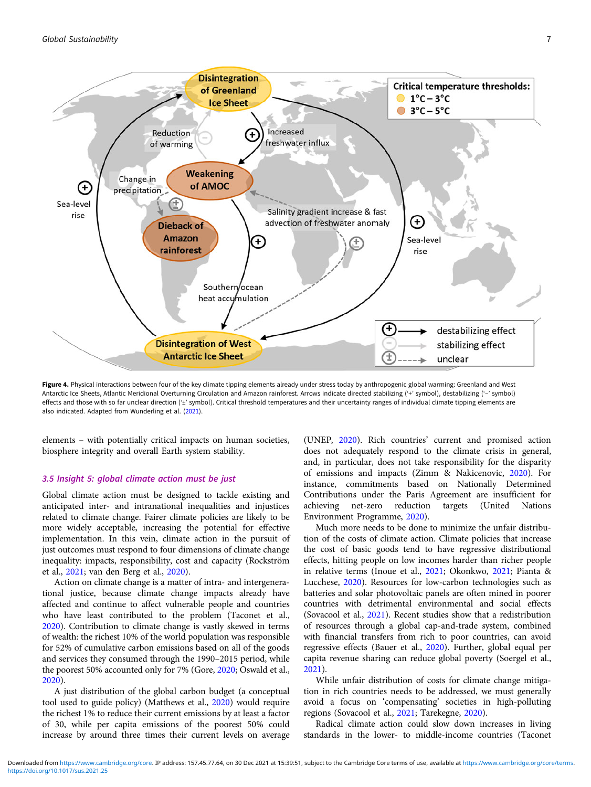<span id="page-6-0"></span>

Figure 4. Physical interactions between four of the key climate tipping elements already under stress today by anthropogenic global warming: Greenland and West Antarctic Ice Sheets, Atlantic Meridional Overturning Circulation and Amazon rainforest. Arrows indicate directed stabilizing ('+' symbol), destabilizing ('–' symbol) effects and those with so far unclear direction ('±' symbol). Critical threshold temperatures and their uncertainty ranges of individual climate tipping elements are also indicated. Adapted from Wunderling et al. ([2021\)](#page-19-0).

elements – with potentially critical impacts on human societies, biosphere integrity and overall Earth system stability.

#### 3.5 Insight 5: global climate action must be just

Global climate action must be designed to tackle existing and anticipated inter- and intranational inequalities and injustices related to climate change. Fairer climate policies are likely to be more widely acceptable, increasing the potential for effective implementation. In this vein, climate action in the pursuit of just outcomes must respond to four dimensions of climate change inequality: impacts, responsibility, cost and capacity (Rockström et al., [2021;](#page-17-0) van den Berg et al., [2020\)](#page-18-0).

Action on climate change is a matter of intra- and intergenerational justice, because climate change impacts already have affected and continue to affect vulnerable people and countries who have least contributed to the problem (Taconet et al., [2020\)](#page-18-0). Contribution to climate change is vastly skewed in terms of wealth: the richest 10% of the world population was responsible for 52% of cumulative carbon emissions based on all of the goods and services they consumed through the 1990–2015 period, while the poorest 50% accounted only for 7% (Gore, [2020](#page-14-0); Oswald et al., [2020\)](#page-17-0).

A just distribution of the global carbon budget (a conceptual tool used to guide policy) (Matthews et al., [2020\)](#page-16-0) would require the richest 1% to reduce their current emissions by at least a factor of 30, while per capita emissions of the poorest 50% could increase by around three times their current levels on average

(UNEP, [2020\)](#page-18-0). Rich countries' current and promised action does not adequately respond to the climate crisis in general, and, in particular, does not take responsibility for the disparity of emissions and impacts (Zimm & Nakicenovic, [2020\)](#page-19-0). For instance, commitments based on Nationally Determined Contributions under the Paris Agreement are insufficient for achieving net-zero reduction targets (United Nations Environment Programme, [2020\)](#page-18-0).

Much more needs to be done to minimize the unfair distribution of the costs of climate action. Climate policies that increase the cost of basic goods tend to have regressive distributional effects, hitting people on low incomes harder than richer people in relative terms (Inoue et al., [2021](#page-15-0); Okonkwo, [2021;](#page-17-0) Pianta & Lucchese, [2020\)](#page-17-0). Resources for low-carbon technologies such as batteries and solar photovoltaic panels are often mined in poorer countries with detrimental environmental and social effects (Sovacool et al., [2021](#page-18-0)). Recent studies show that a redistribution of resources through a global cap-and-trade system, combined with financial transfers from rich to poor countries, can avoid regressive effects (Bauer et al., [2020\)](#page-13-0). Further, global equal per capita revenue sharing can reduce global poverty (Soergel et al., [2021](#page-18-0)).

While unfair distribution of costs for climate change mitigation in rich countries needs to be addressed, we must generally avoid a focus on 'compensating' societies in high-polluting regions (Sovacool et al., [2021;](#page-18-0) Tarekegne, [2020](#page-18-0)).

Radical climate action could slow down increases in living standards in the lower- to middle-income countries (Taconet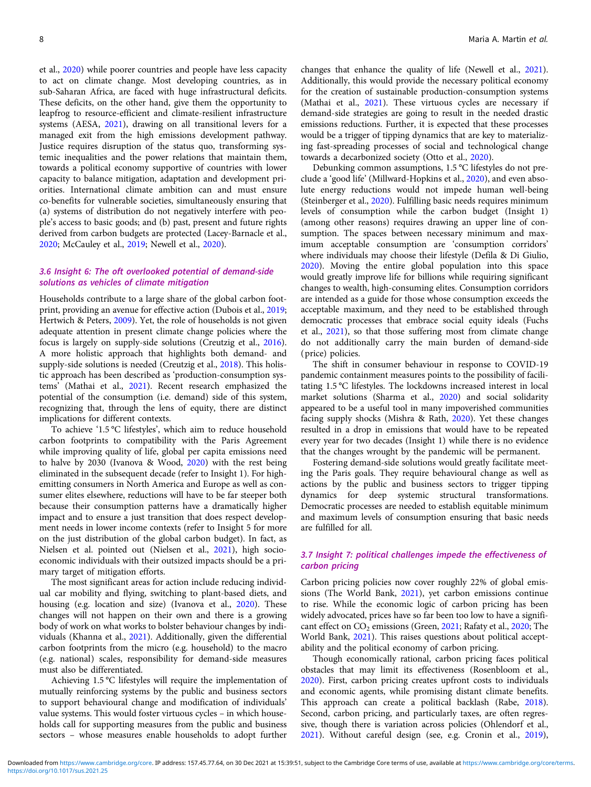et al., [2020](#page-18-0)) while poorer countries and people have less capacity to act on climate change. Most developing countries, as in sub-Saharan Africa, are faced with huge infrastructural deficits. These deficits, on the other hand, give them the opportunity to leapfrog to resource-efficient and climate-resilient infrastructure systems (AESA, [2021\)](#page-12-0), drawing on all transitional levers for a managed exit from the high emissions development pathway. Justice requires disruption of the status quo, transforming systemic inequalities and the power relations that maintain them, towards a political economy supportive of countries with lower capacity to balance mitigation, adaptation and development priorities. International climate ambition can and must ensure co-benefits for vulnerable societies, simultaneously ensuring that (a) systems of distribution do not negatively interfere with people's access to basic goods; and (b) past, present and future rights derived from carbon budgets are protected (Lacey-Barnacle et al., [2020;](#page-16-0) McCauley et al., [2019](#page-16-0); Newell et al., [2020\)](#page-17-0).

## 3.6 Insight 6: The oft overlooked potential of demand-side solutions as vehicles of climate mitigation

Households contribute to a large share of the global carbon footprint, providing an avenue for effective action (Dubois et al., [2019](#page-14-0); Hertwich & Peters, [2009\)](#page-15-0). Yet, the role of households is not given adequate attention in present climate change policies where the focus is largely on supply-side solutions (Creutzig et al., [2016\)](#page-13-0). A more holistic approach that highlights both demand- and supply-side solutions is needed (Creutzig et al., [2018](#page-13-0)). This holistic approach has been described as 'production-consumption systems' (Mathai et al., [2021](#page-16-0)). Recent research emphasized the potential of the consumption (i.e. demand) side of this system, recognizing that, through the lens of equity, there are distinct implications for different contexts.

To achieve '1.5 °C lifestyles', which aim to reduce household carbon footprints to compatibility with the Paris Agreement while improving quality of life, global per capita emissions need to halve by 2030 (Ivanova & Wood, [2020\)](#page-15-0) with the rest being eliminated in the subsequent decade (refer to Insight 1). For highemitting consumers in North America and Europe as well as consumer elites elsewhere, reductions will have to be far steeper both because their consumption patterns have a dramatically higher impact and to ensure a just transition that does respect development needs in lower income contexts (refer to Insight 5 for more on the just distribution of the global carbon budget). In fact, as Nielsen et al. pointed out (Nielsen et al., [2021\)](#page-17-0), high socioeconomic individuals with their outsized impacts should be a primary target of mitigation efforts.

The most significant areas for action include reducing individual car mobility and flying, switching to plant-based diets, and housing (e.g. location and size) (Ivanova et al., [2020](#page-15-0)). These changes will not happen on their own and there is a growing body of work on what works to bolster behaviour changes by individuals (Khanna et al., [2021](#page-15-0)). Additionally, given the differential carbon footprints from the micro (e.g. household) to the macro (e.g. national) scales, responsibility for demand-side measures must also be differentiated.

Achieving 1.5 °C lifestyles will require the implementation of mutually reinforcing systems by the public and business sectors to support behavioural change and modification of individuals' value systems. This would foster virtuous cycles – in which households call for supporting measures from the public and business sectors – whose measures enable households to adopt further

changes that enhance the quality of life (Newell et al., [2021](#page-16-0)). Additionally, this would provide the necessary political economy for the creation of sustainable production-consumption systems (Mathai et al., [2021\)](#page-16-0). These virtuous cycles are necessary if demand-side strategies are going to result in the needed drastic emissions reductions. Further, it is expected that these processes would be a trigger of tipping dynamics that are key to materializing fast-spreading processes of social and technological change towards a decarbonized society (Otto et al., [2020](#page-17-0)).

Debunking common assumptions, 1.5 °C lifestyles do not preclude a 'good life' (Millward-Hopkins et al., [2020](#page-16-0)), and even absolute energy reductions would not impede human well-being (Steinberger et al., [2020](#page-18-0)). Fulfilling basic needs requires minimum levels of consumption while the carbon budget (Insight 1) (among other reasons) requires drawing an upper line of consumption. The spaces between necessary minimum and maximum acceptable consumption are 'consumption corridors' where individuals may choose their lifestyle (Defila & Di Giulio, [2020\)](#page-13-0). Moving the entire global population into this space would greatly improve life for billions while requiring significant changes to wealth, high-consuming elites. Consumption corridors are intended as a guide for those whose consumption exceeds the acceptable maximum, and they need to be established through democratic processes that embrace social equity ideals (Fuchs et al., [2021](#page-14-0)), so that those suffering most from climate change do not additionally carry the main burden of demand-side (price) policies.

The shift in consumer behaviour in response to COVID-19 pandemic containment measures points to the possibility of facilitating 1.5 °C lifestyles. The lockdowns increased interest in local market solutions (Sharma et al., [2020](#page-18-0)) and social solidarity appeared to be a useful tool in many impoverished communities facing supply shocks (Mishra & Rath, [2020\)](#page-16-0). Yet these changes resulted in a drop in emissions that would have to be repeated every year for two decades (Insight 1) while there is no evidence that the changes wrought by the pandemic will be permanent.

Fostering demand-side solutions would greatly facilitate meeting the Paris goals. They require behavioural change as well as actions by the public and business sectors to trigger tipping dynamics for deep systemic structural transformations. Democratic processes are needed to establish equitable minimum and maximum levels of consumption ensuring that basic needs are fulfilled for all.

## 3.7 Insight 7: political challenges impede the effectiveness of carbon pricing

Carbon pricing policies now cover roughly 22% of global emissions (The World Bank, [2021](#page-18-0)), yet carbon emissions continue to rise. While the economic logic of carbon pricing has been widely advocated, prices have so far been too low to have a significant effect on  $CO_2$  emissions (Green, [2021](#page-15-0); Rafaty et al., [2020;](#page-17-0) The World Bank, [2021](#page-18-0)). This raises questions about political acceptability and the political economy of carbon pricing.

Though economically rational, carbon pricing faces political obstacles that may limit its effectiveness (Rosenbloom et al., [2020\)](#page-17-0). First, carbon pricing creates upfront costs to individuals and economic agents, while promising distant climate benefits. This approach can create a political backlash (Rabe, [2018](#page-17-0)). Second, carbon pricing, and particularly taxes, are often regressive, though there is variation across policies (Ohlendorf et al., [2021\)](#page-17-0). Without careful design (see, e.g. Cronin et al., [2019](#page-13-0)),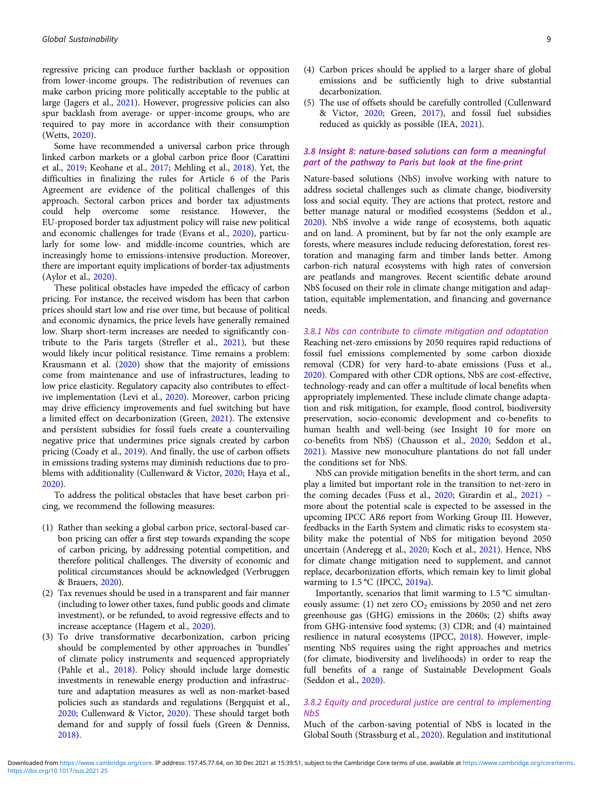regressive pricing can produce further backlash or opposition from lower-income groups. The redistribution of revenues can make carbon pricing more politically acceptable to the public at large (Jagers et al., [2021\)](#page-15-0). However, progressive policies can also spur backlash from average- or upper-income groups, who are required to pay more in accordance with their consumption (Wetts, [2020](#page-19-0)).

Some have recommended a universal carbon price through linked carbon markets or a global carbon price floor (Carattini et al., [2019](#page-13-0); Keohane et al., [2017;](#page-15-0) Mehling et al., [2018](#page-16-0)). Yet, the difficulties in finalizing the rules for Article 6 of the Paris Agreement are evidence of the political challenges of this approach. Sectoral carbon prices and border tax adjustments could help overcome some resistance. However, the EU-proposed border tax adjustment policy will raise new political and economic challenges for trade (Evans et al., [2020\)](#page-14-0), particularly for some low- and middle-income countries, which are increasingly home to emissions-intensive production. Moreover, there are important equity implications of border-tax adjustments (Aylor et al., [2020](#page-13-0)).

These political obstacles have impeded the efficacy of carbon pricing. For instance, the received wisdom has been that carbon prices should start low and rise over time, but because of political and economic dynamics, the price levels have generally remained low. Sharp short-term increases are needed to significantly contribute to the Paris targets (Strefler et al., [2021](#page-18-0)), but these would likely incur political resistance. Time remains a problem: Krausmann et al. ([2020\)](#page-16-0) show that the majority of emissions come from maintenance and use of infrastructures, leading to low price elasticity. Regulatory capacity also contributes to effective implementation (Levi et al., [2020\)](#page-16-0). Moreover, carbon pricing may drive efficiency improvements and fuel switching but have a limited effect on decarbonization (Green, [2021\)](#page-15-0). The extensive and persistent subsidies for fossil fuels create a countervailing negative price that undermines price signals created by carbon pricing (Coady et al., [2019](#page-13-0)). And finally, the use of carbon offsets in emissions trading systems may diminish reductions due to problems with additionality (Cullenward & Victor, [2020;](#page-13-0) Haya et al., [2020\)](#page-15-0).

To address the political obstacles that have beset carbon pricing, we recommend the following measures:

- (1) Rather than seeking a global carbon price, sectoral-based carbon pricing can offer a first step towards expanding the scope of carbon pricing, by addressing potential competition, and therefore political challenges. The diversity of economic and political circumstances should be acknowledged (Verbruggen & Brauers, [2020](#page-19-0)).
- (2) Tax revenues should be used in a transparent and fair manner (including to lower other taxes, fund public goods and climate investment), or be refunded, to avoid regressive effects and to increase acceptance (Hagem et al., [2020](#page-15-0)).
- (3) To drive transformative decarbonization, carbon pricing should be complemented by other approaches in 'bundles' of climate policy instruments and sequenced appropriately (Pahle et al., [2018](#page-17-0)). Policy should include large domestic investments in renewable energy production and infrastructure and adaptation measures as well as non-market-based policies such as standards and regulations (Bergquist et al., [2020;](#page-13-0) Cullenward & Victor, [2020\)](#page-13-0). These should target both demand for and supply of fossil fuels (Green & Denniss, [2018\)](#page-15-0).

(5) The use of offsets should be carefully controlled (Cullenward & Victor, [2020;](#page-13-0) Green, [2017\)](#page-15-0), and fossil fuel subsidies reduced as quickly as possible (IEA, [2021\)](#page-15-0).

# 3.8 Insight 8: nature-based solutions can form a meaningful part of the pathway to Paris but look at the fine-print

Nature-based solutions (NbS) involve working with nature to address societal challenges such as climate change, biodiversity loss and social equity. They are actions that protect, restore and better manage natural or modified ecosystems (Seddon et al., [2020](#page-18-0)). NbS involve a wide range of ecosystems, both aquatic and on land. A prominent, but by far not the only example are forests, where measures include reducing deforestation, forest restoration and managing farm and timber lands better. Among carbon-rich natural ecosystems with high rates of conversion are peatlands and mangroves. Recent scientific debate around NbS focused on their role in climate change mitigation and adaptation, equitable implementation, and financing and governance needs.

3.8.1 Nbs can contribute to climate mitigation and adaptation Reaching net-zero emissions by 2050 requires rapid reductions of fossil fuel emissions complemented by some carbon dioxide removal (CDR) for very hard-to-abate emissions (Fuss et al., [2020](#page-14-0)). Compared with other CDR options, NbS are cost-effective, technology-ready and can offer a multitude of local benefits when appropriately implemented. These include climate change adaptation and risk mitigation, for example, flood control, biodiversity preservation, socio-economic development and co-benefits to human health and well-being (see Insight 10 for more on co-benefits from NbS) (Chausson et al., [2020](#page-13-0); Seddon et al., [2021](#page-18-0)). Massive new monoculture plantations do not fall under the conditions set for NbS.

NbS can provide mitigation benefits in the short term, and can play a limited but important role in the transition to net-zero in the coming decades (Fuss et al., [2020](#page-14-0); Girardin et al., [2021](#page-14-0)) – more about the potential scale is expected to be assessed in the upcoming IPCC AR6 report from Working Group III. However, feedbacks in the Earth System and climatic risks to ecosystem stability make the potential of NbS for mitigation beyond 2050 uncertain (Anderegg et al., [2020;](#page-12-0) Koch et al., [2021](#page-16-0)). Hence, NbS for climate change mitigation need to supplement, and cannot replace, decarbonization efforts, which remain key to limit global warming to  $1.5 \text{ °C}$  (IPCC, [2019a](#page-15-0)).

Importantly, scenarios that limit warming to 1.5 °C simultaneously assume: (1) net zero  $CO<sub>2</sub>$  emissions by 2050 and net zero greenhouse gas (GHG) emissions in the 2060s; (2) shifts away from GHG-intensive food systems; (3) CDR; and (4) maintained resilience in natural ecosystems (IPCC, [2018\)](#page-15-0). However, implementing NbS requires using the right approaches and metrics (for climate, biodiversity and livelihoods) in order to reap the full benefits of a range of Sustainable Development Goals (Seddon et al., [2020\)](#page-18-0).

# 3.8.2 Equity and procedural justice are central to implementing NbS

Much of the carbon-saving potential of NbS is located in the Global South (Strassburg et al., [2020\)](#page-18-0). Regulation and institutional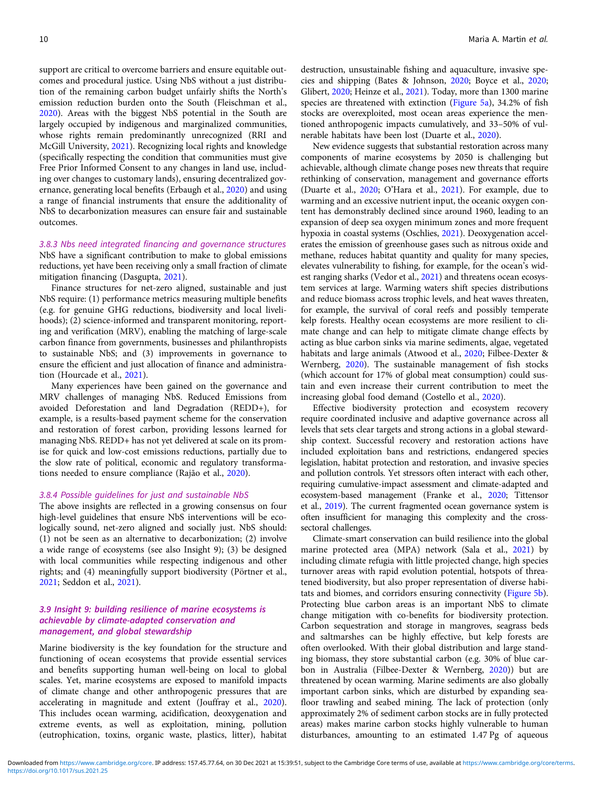support are critical to overcome barriers and ensure equitable outcomes and procedural justice. Using NbS without a just distribution of the remaining carbon budget unfairly shifts the North's emission reduction burden onto the South (Fleischman et al., [2020\)](#page-14-0). Areas with the biggest NbS potential in the South are largely occupied by indigenous and marginalized communities, whose rights remain predominantly unrecognized (RRI and McGill University, [2021\)](#page-17-0). Recognizing local rights and knowledge (specifically respecting the condition that communities must give Free Prior Informed Consent to any changes in land use, including over changes to customary lands), ensuring decentralized governance, generating local benefits (Erbaugh et al., [2020](#page-14-0)) and using a range of financial instruments that ensure the additionality of NbS to decarbonization measures can ensure fair and sustainable outcomes.

3.8.3 Nbs need integrated financing and governance structures NbS have a significant contribution to make to global emissions reductions, yet have been receiving only a small fraction of climate mitigation financing (Dasgupta, [2021](#page-13-0)).

Finance structures for net-zero aligned, sustainable and just NbS require: (1) performance metrics measuring multiple benefits (e.g. for genuine GHG reductions, biodiversity and local livelihoods); (2) science-informed and transparent monitoring, reporting and verification (MRV), enabling the matching of large-scale carbon finance from governments, businesses and philanthropists to sustainable NbS; and (3) improvements in governance to ensure the efficient and just allocation of finance and administration (Hourcade et al., [2021\)](#page-15-0).

Many experiences have been gained on the governance and MRV challenges of managing NbS. Reduced Emissions from avoided Deforestation and land Degradation (REDD+), for example, is a results-based payment scheme for the conservation and restoration of forest carbon, providing lessons learned for managing NbS. REDD+ has not yet delivered at scale on its promise for quick and low-cost emissions reductions, partially due to the slow rate of political, economic and regulatory transformations needed to ensure compliance (Rajão et al., [2020\)](#page-17-0).

#### 3.8.4 Possible guidelines for just and sustainable NbS

The above insights are reflected in a growing consensus on four high-level guidelines that ensure NbS interventions will be ecologically sound, net-zero aligned and socially just. NbS should: (1) not be seen as an alternative to decarbonization; (2) involve a wide range of ecosystems (see also Insight 9); (3) be designed with local communities while respecting indigenous and other rights; and (4) meaningfully support biodiversity (Pörtner et al., [2021;](#page-17-0) Seddon et al., [2021\)](#page-18-0).

# 3.9 Insight 9: building resilience of marine ecosystems is achievable by climate-adapted conservation and management, and global stewardship

Marine biodiversity is the key foundation for the structure and functioning of ocean ecosystems that provide essential services and benefits supporting human well-being on local to global scales. Yet, marine ecosystems are exposed to manifold impacts of climate change and other anthropogenic pressures that are accelerating in magnitude and extent (Jouffray et al., [2020\)](#page-15-0). This includes ocean warming, acidification, deoxygenation and extreme events, as well as exploitation, mining, pollution (eutrophication, toxins, organic waste, plastics, litter), habitat destruction, unsustainable fishing and aquaculture, invasive species and shipping (Bates & Johnson, [2020](#page-13-0); Boyce et al., [2020;](#page-13-0) Glibert, [2020;](#page-14-0) Heinze et al., [2021](#page-15-0)). Today, more than 1300 marine species are threatened with extinction ([Figure 5a\)](#page-10-0), 34.2% of fish stocks are overexploited, most ocean areas experience the mentioned anthropogenic impacts cumulatively, and 33–50% of vulnerable habitats have been lost (Duarte et al., [2020\)](#page-14-0).

New evidence suggests that substantial restoration across many components of marine ecosystems by 2050 is challenging but achievable, although climate change poses new threats that require rethinking of conservation, management and governance efforts (Duarte et al., [2020](#page-14-0); O'Hara et al., [2021](#page-17-0)). For example, due to warming and an excessive nutrient input, the oceanic oxygen content has demonstrably declined since around 1960, leading to an expansion of deep sea oxygen minimum zones and more frequent hypoxia in coastal systems (Oschlies, [2021\)](#page-17-0). Deoxygenation accelerates the emission of greenhouse gases such as nitrous oxide and methane, reduces habitat quantity and quality for many species, elevates vulnerability to fishing, for example, for the ocean's widest ranging sharks (Vedor et al., [2021\)](#page-19-0) and threatens ocean ecosystem services at large. Warming waters shift species distributions and reduce biomass across trophic levels, and heat waves threaten, for example, the survival of coral reefs and possibly temperate kelp forests. Healthy ocean ecosystems are more resilient to climate change and can help to mitigate climate change effects by acting as blue carbon sinks via marine sediments, algae, vegetated habitats and large animals (Atwood et al., [2020](#page-13-0); Filbee-Dexter & Wernberg, [2020\)](#page-14-0). The sustainable management of fish stocks (which account for 17% of global meat consumption) could sustain and even increase their current contribution to meet the increasing global food demand (Costello et al., [2020](#page-13-0)).

Effective biodiversity protection and ecosystem recovery require coordinated inclusive and adaptive governance across all levels that sets clear targets and strong actions in a global stewardship context. Successful recovery and restoration actions have included exploitation bans and restrictions, endangered species legislation, habitat protection and restoration, and invasive species and pollution controls. Yet stressors often interact with each other, requiring cumulative-impact assessment and climate-adapted and ecosystem-based management (Franke et al., [2020;](#page-14-0) Tittensor et al., [2019](#page-18-0)). The current fragmented ocean governance system is often insufficient for managing this complexity and the crosssectoral challenges.

Climate-smart conservation can build resilience into the global marine protected area (MPA) network (Sala et al., [2021](#page-17-0)) by including climate refugia with little projected change, high species turnover areas with rapid evolution potential, hotspots of threatened biodiversity, but also proper representation of diverse habitats and biomes, and corridors ensuring connectivity [\(Figure 5b](#page-10-0)). Protecting blue carbon areas is an important NbS to climate change mitigation with co-benefits for biodiversity protection. Carbon sequestration and storage in mangroves, seagrass beds and saltmarshes can be highly effective, but kelp forests are often overlooked. With their global distribution and large standing biomass, they store substantial carbon (e.g. 30% of blue carbon in Australia (Filbee-Dexter & Wernberg, [2020\)](#page-14-0)) but are threatened by ocean warming. Marine sediments are also globally important carbon sinks, which are disturbed by expanding seafloor trawling and seabed mining. The lack of protection (only approximately 2% of sediment carbon stocks are in fully protected areas) makes marine carbon stocks highly vulnerable to human disturbances, amounting to an estimated 1.47 Pg of aqueous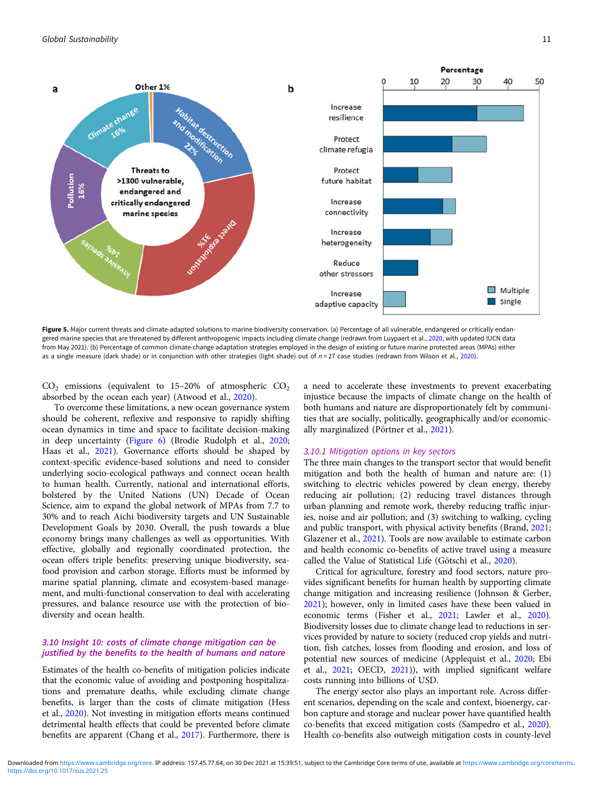<span id="page-10-0"></span>

Figure 5. Major current threats and climate-adapted solutions to marine biodiversity conservation. (a) Percentage of all vulnerable, endangered or critically endan-gered marine species that are threatened by different anthropogenic impacts including climate change (redrawn from Luypaert et al., [2020,](#page-16-0) with updated IUCN data from May 2021). (b) Percentage of common climate-change adaptation strategies employed in the design of existing or future marine protected areas (MPAs) either as a single measure (dark shade) or in conjunction with other strategies (light shade) out of  $n = 27$  case studies (redrawn from Wilson et al., [2020\)](#page-19-0).

 $CO<sub>2</sub>$  emissions (equivalent to 15–20% of atmospheric  $CO<sub>2</sub>$ absorbed by the ocean each year) (Atwood et al., [2020\)](#page-13-0).

To overcome these limitations, a new ocean governance system should be coherent, reflexive and responsive to rapidly shifting ocean dynamics in time and space to facilitate decision-making in deep uncertainty [\(Figure 6\)](#page-11-0) (Brodie Rudolph et al., [2020;](#page-13-0) Haas et al., [2021\)](#page-15-0). Governance efforts should be shaped by context-specific evidence-based solutions and need to consider underlying socio-ecological pathways and connect ocean health to human health. Currently, national and international efforts, bolstered by the United Nations (UN) Decade of Ocean Science, aim to expand the global network of MPAs from 7.7 to 30% and to reach Aichi biodiversity targets and UN Sustainable Development Goals by 2030. Overall, the push towards a blue economy brings many challenges as well as opportunities. With effective, globally and regionally coordinated protection, the ocean offers triple benefits: preserving unique biodiversity, seafood provision and carbon storage. Efforts must be informed by marine spatial planning, climate and ecosystem-based management, and multi-functional conservation to deal with accelerating pressures, and balance resource use with the protection of biodiversity and ocean health.

## 3.10 Insight 10: costs of climate change mitigation can be justified by the benefits to the health of humans and nature

Estimates of the health co-benefits of mitigation policies indicate that the economic value of avoiding and postponing hospitalizations and premature deaths, while excluding climate change benefits, is larger than the costs of climate mitigation (Hess et al., [2020](#page-15-0)). Not investing in mitigation efforts means continued detrimental health effects that could be prevented before climate benefits are apparent (Chang et al., [2017](#page-13-0)). Furthermore, there is

a need to accelerate these investments to prevent exacerbating injustice because the impacts of climate change on the health of both humans and nature are disproportionately felt by communities that are socially, politically, geographically and/or economically marginalized (Pörtner et al., [2021](#page-17-0)).

### 3.10.1 Mitigation options in key sectors

The three main changes to the transport sector that would benefit mitigation and both the health of human and nature are: (1) switching to electric vehicles powered by clean energy, thereby reducing air pollution; (2) reducing travel distances through urban planning and remote work, thereby reducing traffic injuries, noise and air pollution; and (3) switching to walking, cycling and public transport, with physical activity benefits (Brand, [2021](#page-13-0); Glazener et al., [2021](#page-14-0)). Tools are now available to estimate carbon and health economic co-benefits of active travel using a measure called the Value of Statistical Life (Götschi et al., [2020](#page-14-0)).

Critical for agriculture, forestry and food sectors, nature provides significant benefits for human health by supporting climate change mitigation and increasing resilience (Johnson & Gerber, [2021](#page-15-0)); however, only in limited cases have these been valued in economic terms (Fisher et al., [2021](#page-14-0); Lawler et al., [2020](#page-16-0)). Biodiversity losses due to climate change lead to reductions in services provided by nature to society (reduced crop yields and nutrition, fish catches, losses from flooding and erosion, and loss of potential new sources of medicine (Applequist et al., [2020;](#page-13-0) Ebi et al., [2021](#page-14-0); OECD, [2021](#page-17-0))), with implied significant welfare costs running into billions of USD.

The energy sector also plays an important role. Across different scenarios, depending on the scale and context, bioenergy, carbon capture and storage and nuclear power have quantified health co-benefits that exceed mitigation costs (Sampedro et al., [2020](#page-18-0)). Health co-benefits also outweigh mitigation costs in county-level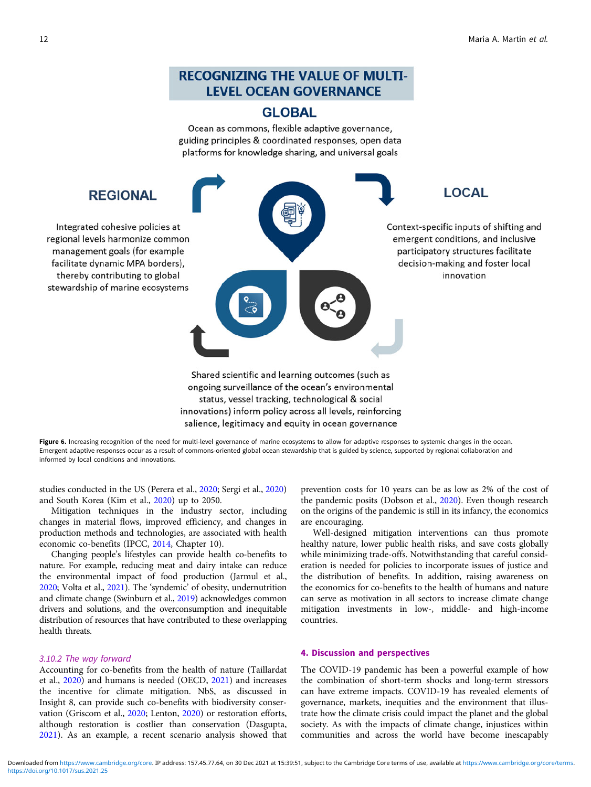# **RECOGNIZING THE VALUE OF MULTI-LEVEL OCEAN GOVERNANCE**

# **GLOBAL**

Ocean as commons, flexible adaptive governance, guiding principles & coordinated responses, open data platforms for knowledge sharing, and universal goals

<span id="page-11-0"></span>

Figure 6. Increasing recognition of the need for multi-level governance of marine ecosystems to allow for adaptive responses to systemic changes in the ocean. Emergent adaptive responses occur as a result of commons-oriented global ocean stewardship that is guided by science, supported by regional collaboration and informed by local conditions and innovations.

salience, legitimacy and equity in ocean governance

studies conducted in the US (Perera et al., [2020](#page-17-0); Sergi et al., [2020\)](#page-18-0) and South Korea (Kim et al., [2020](#page-15-0)) up to 2050.

Mitigation techniques in the industry sector, including changes in material flows, improved efficiency, and changes in production methods and technologies, are associated with health economic co-benefits (IPCC, [2014](#page-15-0), Chapter 10).

Changing people's lifestyles can provide health co-benefits to nature. For example, reducing meat and dairy intake can reduce the environmental impact of food production (Jarmul et al., [2020;](#page-15-0) Volta et al., [2021\)](#page-19-0). The 'syndemic' of obesity, undernutrition and climate change (Swinburn et al., [2019](#page-18-0)) acknowledges common drivers and solutions, and the overconsumption and inequitable distribution of resources that have contributed to these overlapping health threats.

# 3.10.2 The way forward

Accounting for co-benefits from the health of nature (Taillardat et al., [2020\)](#page-18-0) and humans is needed (OECD, [2021](#page-17-0)) and increases the incentive for climate mitigation. NbS, as discussed in Insight 8, can provide such co-benefits with biodiversity conservation (Griscom et al., [2020;](#page-15-0) Lenton, [2020\)](#page-16-0) or restoration efforts, although restoration is costlier than conservation (Dasgupta, [2021\)](#page-13-0). As an example, a recent scenario analysis showed that

prevention costs for 10 years can be as low as 2% of the cost of the pandemic posits (Dobson et al., [2020\)](#page-14-0). Even though research on the origins of the pandemic is still in its infancy, the economics are encouraging.

Well-designed mitigation interventions can thus promote healthy nature, lower public health risks, and save costs globally while minimizing trade-offs. Notwithstanding that careful consideration is needed for policies to incorporate issues of justice and the distribution of benefits. In addition, raising awareness on the economics for co-benefits to the health of humans and nature can serve as motivation in all sectors to increase climate change mitigation investments in low-, middle- and high-income countries.

# 4. Discussion and perspectives

The COVID-19 pandemic has been a powerful example of how the combination of short-term shocks and long-term stressors can have extreme impacts. COVID-19 has revealed elements of governance, markets, inequities and the environment that illustrate how the climate crisis could impact the planet and the global society. As with the impacts of climate change, injustices within communities and across the world have become inescapably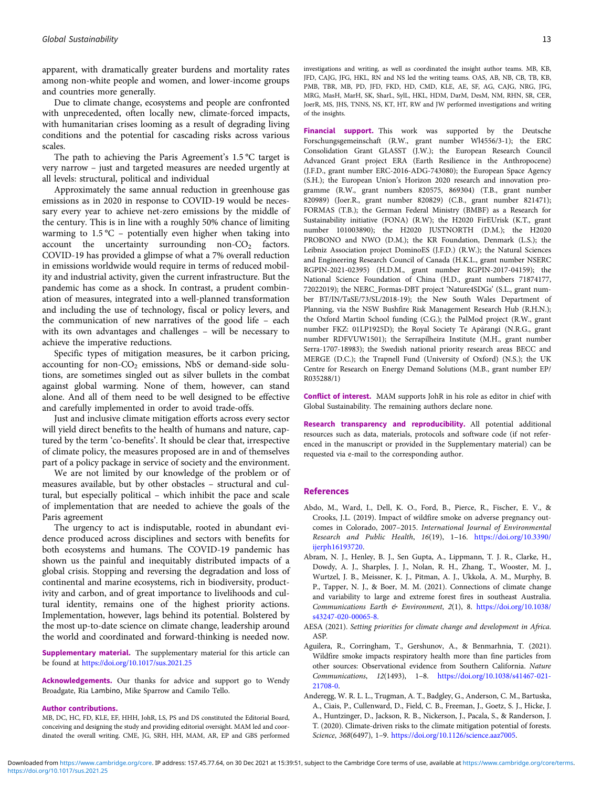<span id="page-12-0"></span>apparent, with dramatically greater burdens and mortality rates among non-white people and women, and lower-income groups and countries more generally.

Due to climate change, ecosystems and people are confronted with unprecedented, often locally new, climate-forced impacts, with humanitarian crises looming as a result of degrading living conditions and the potential for cascading risks across various scales.

The path to achieving the Paris Agreement's 1.5 °C target is very narrow – just and targeted measures are needed urgently at all levels: structural, political and individual

Approximately the same annual reduction in greenhouse gas emissions as in 2020 in response to COVID-19 would be necessary every year to achieve net-zero emissions by the middle of the century. This is in line with a roughly 50% chance of limiting warming to  $1.5^{\circ}$ C – potentially even higher when taking into account the uncertainty surrounding non- $CO<sub>2</sub>$  factors. COVID-19 has provided a glimpse of what a 7% overall reduction in emissions worldwide would require in terms of reduced mobility and industrial activity, given the current infrastructure. But the pandemic has come as a shock. In contrast, a prudent combination of measures, integrated into a well-planned transformation and including the use of technology, fiscal or policy levers, and the communication of new narratives of the good life – each with its own advantages and challenges – will be necessary to achieve the imperative reductions.

Specific types of mitigation measures, be it carbon pricing, accounting for non- $CO<sub>2</sub>$  emissions, NbS or demand-side solutions, are sometimes singled out as silver bullets in the combat against global warming. None of them, however, can stand alone. And all of them need to be well designed to be effective and carefully implemented in order to avoid trade-offs.

Just and inclusive climate mitigation efforts across every sector will yield direct benefits to the health of humans and nature, captured by the term 'co-benefits'. It should be clear that, irrespective of climate policy, the measures proposed are in and of themselves part of a policy package in service of society and the environment.

We are not limited by our knowledge of the problem or of measures available, but by other obstacles – structural and cultural, but especially political – which inhibit the pace and scale of implementation that are needed to achieve the goals of the Paris agreement

The urgency to act is indisputable, rooted in abundant evidence produced across disciplines and sectors with benefits for both ecosystems and humans. The COVID-19 pandemic has shown us the painful and inequitably distributed impacts of a global crisis. Stopping and reversing the degradation and loss of continental and marine ecosystems, rich in biodiversity, productivity and carbon, and of great importance to livelihoods and cultural identity, remains one of the highest priority actions. Implementation, however, lags behind its potential. Bolstered by the most up-to-date science on climate change, leadership around the world and coordinated and forward-thinking is needed now.

Supplementary material. The supplementary material for this article can be found at <https://doi.org/10.1017/sus.2021.25>

Acknowledgements. Our thanks for advice and support go to Wendy Broadgate, Ria Lambino, Mike Sparrow and Camilo Tello.

#### Author contributions.

MB, DC, HC, FD, KLE, EF, HHH, JohR, LS, PS and DS constituted the Editorial Board, conceiving and designing the study and providing editorial oversight. MAM led and coordinated the overall writing. CME, JG, SRH, HH, MAM, AR, EP and GBS performed investigations and writing, as well as coordinated the insight author teams. MB, KB, JFD, CAJG, JFG, HKL, RN and NS led the writing teams. OAS, AB, NB, CB, TB, KB, PMB, TBR, MB, PD, JFD, FKD, HD, CMD, KLE, AE, SF, AG, CAJG, NRG, JFG, MRG, MasH, MarH, SK, SharL, SylL, HKL, HDM, DarM, DesM, NM, RHN, SR, CER, JoerR, MS, JHS, TNNS, NS, KT, HT, RW and JW performed investigations and writing of the insights.

Financial support. This work was supported by the Deutsche Forschungsgemeinschaft (R.W., grant number Wl4556/3-1); the ERC Consolidation Grant GLASST (J.W.); the European Research Council Advanced Grant project ERA (Earth Resilience in the Anthropocene) (J.F.D., grant number ERC-2016-ADG-743080); the European Space Agency (S.H.); the European Union's Horizon 2020 research and innovation programme (R.W., grant numbers 820575, 869304) (T.B., grant number 820989) (Joer.R., grant number 820829) (C.B., grant number 821471); FORMAS (T.B.); the German Federal Ministry (BMBF) as a Research for Sustainability initiative (FONA) (R.W); the H2020 FirEUrisk (K.T., grant number 101003890); the H2020 JUSTNORTH (D.M.); the H2020 PROBONO and NWO (D.M.); the KR Foundation, Denmark (L.S.); the Leibniz Association project DominoES (J.F.D.) (R.W.); the Natural Sciences and Engineering Research Council of Canada (H.K.L., grant number NSERC RGPIN-2021-02395) (H.D.M., grant number RGPIN-2017-04159); the National Science Foundation of China (H.D., grant numbers 71874177, 72022019); the NERC\_Formas-DBT project 'Nature4SDGs' (S.L., grant number BT/IN/TaSE/73/SL/2018-19); the New South Wales Department of Planning, via the NSW Bushfire Risk Management Research Hub (R.H.N.); the Oxford Martin School funding (C.G.); the PalMod project (R.W., grant number FKZ: 01LP1925D); the Royal Society Te Apārangi (N.R.G., grant number RDFVUW1501); the Serrapilheira Institute (M.H., grant number Serra-1707-18983); the Swedish national priority research areas BECC and MERGE (D.C.); the Trapnell Fund (University of Oxford) (N.S.); the UK Centre for Research on Energy Demand Solutions (M.B., grant number EP/ R035288/1)

Conflict of interest. MAM supports JohR in his role as editor in chief with Global Sustainability. The remaining authors declare none.

Research transparency and reproducibility. All potential additional resources such as data, materials, protocols and software code (if not referenced in the manuscript or provided in the Supplementary material) can be requested via e-mail to the corresponding author.

#### References

- Abdo, M., Ward, I., Dell, K. O., Ford, B., Pierce, R., Fischer, E. V., & Crooks, J.L. (2019). Impact of wildfire smoke on adverse pregnancy outcomes in Colorado, 2007–2015. International Journal of Environmental Research and Public Health, 16(19), 1–16. [https://doi.org/10.3390/](https://doi.org/10.3390/ijerph16193720) [ijerph16193720.](https://doi.org/10.3390/ijerph16193720)
- Abram, N. J., Henley, B. J., Sen Gupta, A., Lippmann, T. J. R., Clarke, H., Dowdy, A. J., Sharples, J. J., Nolan, R. H., Zhang, T., Wooster, M. J., Wurtzel, J. B., Meissner, K. J., Pitman, A. J., Ukkola, A. M., Murphy, B. P., Tapper, N. J., & Boer, M. M. (2021). Connections of climate change and variability to large and extreme forest fires in southeast Australia. Communications Earth & Environment, 2(1), 8. [https://doi.org/10.1038/](https://doi.org/10.1038/s43247-020-00065-8.) [s43247-020-00065-8.](https://doi.org/10.1038/s43247-020-00065-8.)
- AESA (2021). Setting priorities for climate change and development in Africa. ASP.
- Aguilera, R., Corringham, T., Gershunov, A., & Benmarhnia, T. (2021). Wildfire smoke impacts respiratory health more than fine particles from other sources: Observational evidence from Southern California. Nature Communications, 12(1493), 1–8. [https://doi.org/10.1038/s41467-021-](https://doi.org/10.1038/s41467-021-21708-0) [21708-0.](https://doi.org/10.1038/s41467-021-21708-0)
- Anderegg, W. R. L. L., Trugman, A. T., Badgley, G., Anderson, C. M., Bartuska, A., Ciais, P., Cullenward, D., Field, C. B., Freeman, J., Goetz, S. J., Hicke, J. A., Huntzinger, D., Jackson, R. B., Nickerson, J., Pacala, S., & Randerson, J. T. (2020). Climate-driven risks to the climate mitigation potential of forests. Science, 368(6497), 1–9. [https://doi.org/10.1126/science.aaz7005.](https://doi.org/10.1126/science.aaz7005)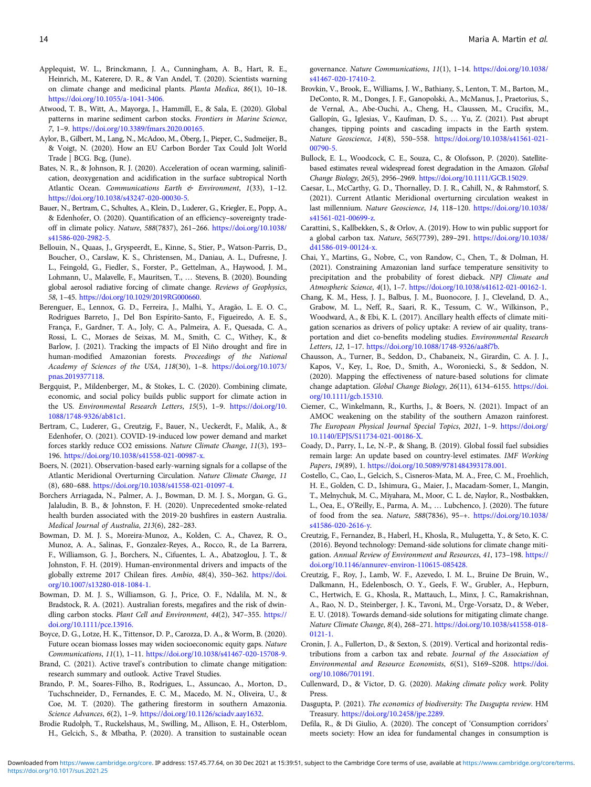- <span id="page-13-0"></span>Applequist, W. L., Brinckmann, J. A., Cunningham, A. B., Hart, R. E., Heinrich, M., Katerere, D. R., & Van Andel, T. (2020). Scientists warning on climate change and medicinal plants. Planta Medica, 86(1), 10–18. <https://doi.org/10.1055/a-1041-3406.>
- Atwood, T. B., Witt, A., Mayorga, J., Hammill, E., & Sala, E. (2020). Global patterns in marine sediment carbon stocks. Frontiers in Marine Science, 7, 1–9. <https://doi.org/10.3389/fmars.2020.00165.>
- Aylor, B., Gilbert, M., Lang, N., McAdoo, M., Öberg, J., Pieper, C., Sudmeijer, B., & Voigt, N. (2020). How an EU Carbon Border Tax Could Jolt World Trade | BCG. Bcg, (June).
- Bates, N. R., & Johnson, R. J. (2020). Acceleration of ocean warming, salinification, deoxygenation and acidification in the surface subtropical North Atlantic Ocean. Communications Earth & Environment, 1(33), 1–12. [https://doi.org/10.1038/s43247-020-00030-5.](https://doi.org/10.1038/s43247-020-00030-5)
- Bauer, N., Bertram, C., Schultes, A., Klein, D., Luderer, G., Kriegler, E., Popp, A., & Edenhofer, O. (2020). Quantification of an efficiency–sovereignty tradeoff in climate policy. Nature, 588(7837), 261–266. [https://doi.org/10.1038/](https://doi.org/10.1038/s41586-020-2982-5.) [s41586-020-2982-5.](https://doi.org/10.1038/s41586-020-2982-5.)
- Bellouin, N., Quaas, J., Gryspeerdt, E., Kinne, S., Stier, P., Watson-Parris, D., Boucher, O., Carslaw, K. S., Christensen, M., Daniau, A. L., Dufresne, J. L., Feingold, G., Fiedler, S., Forster, P., Gettelman, A., Haywood, J. M., Lohmann, U., Malavelle, F., Mauritsen, T., … Stevens, B. (2020). Bounding global aerosol radiative forcing of climate change. Reviews of Geophysics, 58, 1–45. <https://doi.org/10.1029/2019RG000660>.
- Berenguer, E., Lennox, G. D., Ferreira, J., Malhi, Y., Aragão, L. E. O. C., Rodrigues Barreto, J., Del Bon Espírito-Santo, F., Figueiredo, A. E. S., França, F., Gardner, T. A., Joly, C. A., Palmeira, A. F., Quesada, C. A., Rossi, L. C., Moraes de Seixas, M. M., Smith, C. C., Withey, K., & Barlow, J. (2021). Tracking the impacts of El Niño drought and fire in human-modified Amazonian forests. Proceedings of the National Academy of Sciences of the USA, 118(30), 1–8. [https://doi.org/10.1073/](https://doi.org/10.1073/pnas.2019377118) [pnas.2019377118.](https://doi.org/10.1073/pnas.2019377118)
- Bergquist, P., Mildenberger, M., & Stokes, L. C. (2020). Combining climate, economic, and social policy builds public support for climate action in the US. Environmental Research Letters, 15(5), 1–9. [https://doi.org/10.](https://doi.org/10.1088/1748-9326/ab81c1) [1088/1748-9326/ab81c1.](https://doi.org/10.1088/1748-9326/ab81c1)
- Bertram, C., Luderer, G., Creutzig, F., Bauer, N., Ueckerdt, F., Malik, A., & Edenhofer, O. (2021). COVID-19-induced low power demand and market forces starkly reduce CO2 emissions. Nature Climate Change, 11(3), 193– 196. <https://doi.org/10.1038/s41558-021-00987-x.>
- Boers, N. (2021). Observation-based early-warning signals for a collapse of the Atlantic Meridional Overturning Circulation. Nature Climate Change, 11 (8), 680–688. <https://doi.org/10.1038/s41558-021-01097-4.>
- Borchers Arriagada, N., Palmer, A. J., Bowman, D. M. J. S., Morgan, G. G., Jalaludin, B. B., & Johnston, F. H. (2020). Unprecedented smoke-related health burden associated with the 2019-20 bushfires in eastern Australia. Medical Journal of Australia, 213(6), 282–283.
- Bowman, D. M. J. S., Moreira-Munoz, A., Kolden, C. A., Chavez, R. O., Munoz, A. A., Salinas, F., Gonzalez-Reyes, A., Rocco, R., de La Barrera, F., Williamson, G. J., Borchers, N., Cifuentes, L. A., Abatzoglou, J. T., & Johnston, F. H. (2019). Human-environmental drivers and impacts of the globally extreme 2017 Chilean fires. Ambio, 48(4), 350–362. [https://doi.](https://doi.org/10.1007/s13280-018-1084-1.) [org/10.1007/s13280-018-1084-1.](https://doi.org/10.1007/s13280-018-1084-1.)
- Bowman, D. M. J. S., Williamson, G. J., Price, O. F., Ndalila, M. N., & Bradstock, R. A. (2021). Australian forests, megafires and the risk of dwindling carbon stocks. Plant Cell and Environment, 44(2), 347–355. [https://](https://doi.org/10.1111/pce.13916.) [doi.org/10.1111/pce.13916.](https://doi.org/10.1111/pce.13916.)
- Boyce, D. G., Lotze, H. K., Tittensor, D. P., Carozza, D. A., & Worm, B. (2020). Future ocean biomass losses may widen socioeconomic equity gaps. Nature Communications, 11(1), 1–11. <https://doi.org/10.1038/s41467-020-15708-9.>
- Brand, C. (2021). Active travel's contribution to climate change mitigation: research summary and outlook. Active Travel Studies.
- Brando, P. M., Soares-Filho, B., Rodrigues, L., Assuncao, A., Morton, D., Tuchschneider, D., Fernandes, E. C. M., Macedo, M. N., Oliveira, U., & Coe, M. T. (2020). The gathering firestorm in southern Amazonia. Science Advances, 6(2), 1–9. [https://doi.org/10.1126/sciadv.aay1632.](https://doi.org/10.1126/sciadv.aay1632)
- Brodie Rudolph, T., Ruckelshaus, M., Swilling, M., Allison, E. H., Osterblom, H., Gelcich, S., & Mbatha, P. (2020). A transition to sustainable ocean

governance. Nature Communications, 11(1), 1–14. [https://doi.org/10.1038/](https://doi.org/10.1038/s41467-020-17410-2.) [s41467-020-17410-2.](https://doi.org/10.1038/s41467-020-17410-2.)

- Brovkin, V., Brook, E., Williams, J. W., Bathiany, S., Lenton, T. M., Barton, M., DeConto, R. M., Donges, J. F., Ganopolski, A., McManus, J., Praetorius, S., de Vernal, A., Abe-Ouchi, A., Cheng, H., Claussen, M., Crucifix, M., Gallopín, G., Iglesias, V., Kaufman, D. S., … Yu, Z. (2021). Past abrupt changes, tipping points and cascading impacts in the Earth system. Nature Geoscience, 14(8), 550–558. [https://doi.org/10.1038/s41561-021-](https://doi.org/10.1038/s41561-021-00790-5.) [00790-5.](https://doi.org/10.1038/s41561-021-00790-5.)
- Bullock, E. L., Woodcock, C. E., Souza, C., & Olofsson, P. (2020). Satellitebased estimates reveal widespread forest degradation in the Amazon. Global Change Biology, 26(5), 2956–2969. <https://doi.org/10.1111/GCB.15029.>
- Caesar, L., McCarthy, G. D., Thornalley, D. J. R., Cahill, N., & Rahmstorf, S. (2021). Current Atlantic Meridional overturning circulation weakest in last millennium. Nature Geoscience, 14, 118–120. [https://doi.org/10.1038/](https://doi.org/10.1038/s41561-021-00699-z.) [s41561-021-00699-z.](https://doi.org/10.1038/s41561-021-00699-z.)
- Carattini, S., Kallbekken, S., & Orlov, A. (2019). How to win public support for a global carbon tax. Nature, 565(7739), 289–291. [https://doi.org/10.1038/](https://doi.org/10.1038/d41586-019-00124-x.) [d41586-019-00124-x.](https://doi.org/10.1038/d41586-019-00124-x.)
- Chai, Y., Martins, G., Nobre, C., von Randow, C., Chen, T., & Dolman, H. (2021). Constraining Amazonian land surface temperature sensitivity to precipitation and the probability of forest dieback. NPJ Climate and Atmospheric Science, 4(1), 1–7. <https://doi.org/10.1038/s41612-021-00162-1>.
- Chang, K. M., Hess, J. J., Balbus, J. M., Buonocore, J. J., Cleveland, D. A., Grabow, M. L., Neff, R., Saari, R. K., Tessum, C. W., Wilkinson, P., Woodward, A., & Ebi, K. L. (2017). Ancillary health effects of climate mitigation scenarios as drivers of policy uptake: A review of air quality, transportation and diet co-benefits modeling studies. Environmental Research Letters, 12, 1–17. [https://doi.org/10.1088/1748-9326/aa8f7b.](https://doi.org/10.1088/1748-9326/aa8f7b)
- Chausson, A., Turner, B., Seddon, D., Chabaneix, N., Girardin, C. A. J. J., Kapos, V., Key, I., Roe, D., Smith, A., Woroniecki, S., & Seddon, N. (2020). Mapping the effectiveness of nature-based solutions for climate change adaptation. Global Change Biology, 26(11), 6134–6155. [https://doi.](https://doi.org/10.1111/gcb.15310.) [org/10.1111/gcb.15310.](https://doi.org/10.1111/gcb.15310.)
- Ciemer, C., Winkelmann, R., Kurths, J., & Boers, N. (2021). Impact of an AMOC weakening on the stability of the southern Amazon rainforest. The European Physical Journal Special Topics, 2021, 1–9. [https://doi.org/](https://doi.org/10.1140/EPJS/S11734-021-00186-X.) [10.1140/EPJS/S11734-021-00186-X.](https://doi.org/10.1140/EPJS/S11734-021-00186-X.)
- Coady, D., Parry, I., Le, N.-P., & Shang, B. (2019). Global fossil fuel subsidies remain large: An update based on country-level estimates. IMF Working Papers, 19(89), 1. <https://doi.org/10.5089/9781484393178.001.>
- Costello, C., Cao, L., Gelcich, S., Cisneros-Mata, M. A., Free, C. M., Froehlich, H. E., Golden, C. D., Ishimura, G., Maier, J., Macadam-Somer, I., Mangin, T., Melnychuk, M. C., Miyahara, M., Moor, C. L. de, Naylor, R., Nostbakken, L., Oea, E., O'Reilly, E., Parma, A. M., … Lubchenco, J. (2020). The future of food from the sea. Nature, 588(7836), 95–+. [https://doi.org/10.1038/](https://doi.org/10.1038/s41586-020-2616-y) [s41586-020-2616-y](https://doi.org/10.1038/s41586-020-2616-y).
- Creutzig, F., Fernandez, B., Haberl, H., Khosla, R., Mulugetta, Y., & Seto, K. C. (2016). Beyond technology: Demand-side solutions for climate change mitigation. Annual Review of Environment and Resources, 41, 173–198. [https://](https://doi.org/10.1146/annurev-environ-110615-085428.) [doi.org/10.1146/annurev-environ-110615-085428.](https://doi.org/10.1146/annurev-environ-110615-085428.)
- Creutzig, F., Roy, J., Lamb, W. F., Azevedo, I. M. L., Bruine De Bruin, W., Dalkmann, H., Edelenbosch, O. Y., Geels, F. W., Grubler, A., Hepburn, C., Hertwich, E. G., Khosla, R., Mattauch, L., Minx, J. C., Ramakrishnan, A., Rao, N. D., Steinberger, J. K., Tavoni, M., Ürge-Vorsatz, D., & Weber, E. U. (2018). Towards demand-side solutions for mitigating climate change. Nature Climate Change, 8(4), 268–271. [https://doi.org/10.1038/s41558-018-](https://doi.org/10.1038/s41558-018-0121-1.) [0121-1.](https://doi.org/10.1038/s41558-018-0121-1.)
- Cronin, J. A., Fullerton, D., & Sexton, S. (2019). Vertical and horizontal redistributions from a carbon tax and rebate. Journal of the Association of Environmental and Resource Economists, 6(S1), S169–S208. [https://doi.](https://doi.org/10.1086/701191.) [org/10.1086/701191.](https://doi.org/10.1086/701191.)
- Cullenward, D., & Victor, D. G. (2020). Making climate policy work. Polity Press.
- Dasgupta, P. (2021). The economics of biodiversity: The Dasgupta review. HM Treasury. <https://doi.org/10.2458/jpe.2289>.
- Defila, R., & Di Giulio, A. (2020). The concept of 'Consumption corridors' meets society: How an idea for fundamental changes in consumption is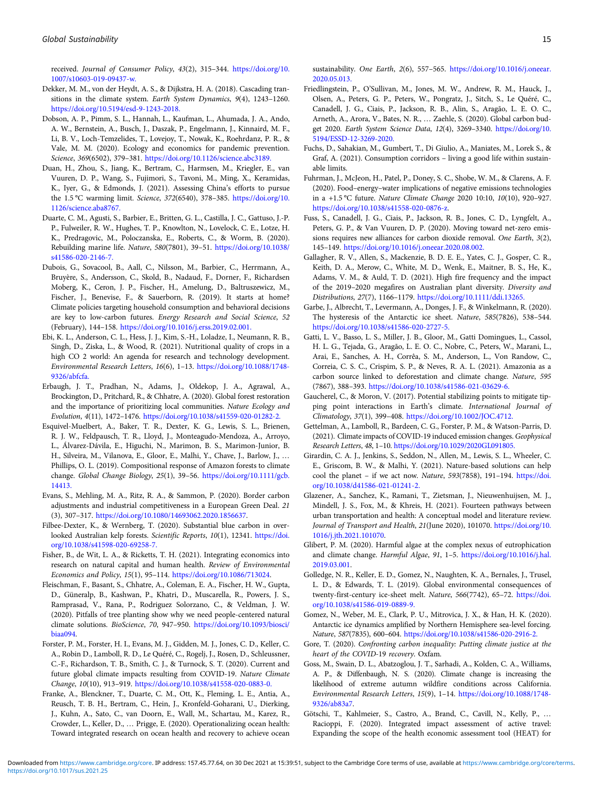<span id="page-14-0"></span>received. Journal of Consumer Policy, 43(2), 315–344. [https://doi.org/10.](https://doi.org/10.1007/s10603-019-09437-w.) [1007/s10603-019-09437-w.](https://doi.org/10.1007/s10603-019-09437-w.)

- Dekker, M. M., von der Heydt, A. S., & Dijkstra, H. A. (2018). Cascading transitions in the climate system. Earth System Dynamics, 9(4), 1243–1260. <https://doi.org/10.5194/esd-9-1243-2018.>
- Dobson, A. P., Pimm, S. L., Hannah, L., Kaufman, L., Ahumada, J. A., Ando, A. W., Bernstein, A., Busch, J., Daszak, P., Engelmann, J., Kinnaird, M. F., Li, B. V., Loch-Temzelides, T., Lovejoy, T., Nowak, K., Roehrdanz, P. R., & Vale, M. M. (2020). Ecology and economics for pandemic prevention. Science, 369(6502), 379–381. <https://doi.org/10.1126/science.abc3189.>
- Duan, H., Zhou, S., Jiang, K., Bertram, C., Harmsen, M., Kriegler, E., van Vuuren, D. P., Wang, S., Fujimori, S., Tavoni, M., Ming, X., Keramidas, K., Iyer, G., & Edmonds, J. (2021). Assessing China's efforts to pursue the 1.5 °C warming limit. Science, 372(6540), 378–385. [https://doi.org/10.](https://doi.org/10.1126/science.aba8767.) [1126/science.aba8767.](https://doi.org/10.1126/science.aba8767.)
- Duarte, C. M., Agusti, S., Barbier, E., Britten, G. L., Castilla, J. C., Gattuso, J.-P. P., Fulweiler, R. W., Hughes, T. P., Knowlton, N., Lovelock, C. E., Lotze, H. K., Predragovic, M., Poloczanska, E., Roberts, C., & Worm, B. (2020). Rebuilding marine life. Nature, 580(7801), 39–51. [https://doi.org/10.1038/](https://doi.org/10.1038/s41586-020-2146-7.) [s41586-020-2146-7.](https://doi.org/10.1038/s41586-020-2146-7.)
- Dubois, G., Sovacool, B., Aall, C., Nilsson, M., Barbier, C., Herrmann, A., Bruyère, S., Andersson, C., Skold, B., Nadaud, F., Dorner, F., Richardsen Moberg, K., Ceron, J. P., Fischer, H., Amelung, D., Baltruszewicz, M., Fischer, J., Benevise, F., & Sauerborn, R. (2019). It starts at home? Climate policies targeting household consumption and behavioral decisions are key to low-carbon futures. Energy Research and Social Science, 52 (February), 144–158. <https://doi.org/10.1016/j.erss.2019.02.001.>
- Ebi, K. L., Anderson, C. L., Hess, J. J., Kim, S.-H., Loladze, I., Neumann, R. B., Singh, D., Ziska, L., & Wood, R. (2021). Nutritional quality of crops in a high CO 2 world: An agenda for research and technology development. Environmental Research Letters, 16(6), 1–13. [https://doi.org/10.1088/1748-](https://doi.org/10.1088/1748-9326/abfcfa.) [9326/abfcfa.](https://doi.org/10.1088/1748-9326/abfcfa.)
- Erbaugh, J. T., Pradhan, N., Adams, J., Oldekop, J. A., Agrawal, A., Brockington, D., Pritchard, R., & Chhatre, A. (2020). Global forest restoration and the importance of prioritizing local communities. Nature Ecology and Evolution, 4(11), 1472–1476. <https://doi.org/10.1038/s41559-020-01282-2.>
- Esquivel-Muelbert, A., Baker, T. R., Dexter, K. G., Lewis, S. L., Brienen, R. J. W., Feldpausch, T. R., Lloyd, J., Monteagudo-Mendoza, A., Arroyo, L., Álvarez-Dávila, E., Higuchi, N., Marimon, B. S., Marimon-Junior, B. H., Silveira, M., Vilanova, E., Gloor, E., Malhi, Y., Chave, J., Barlow, J., … Phillips, O. L. (2019). Compositional response of Amazon forests to climate change. Global Change Biology, 25(1), 39–56. [https://doi.org/10.1111/gcb.](https://doi.org/10.1111/gcb.14413.) [14413.](https://doi.org/10.1111/gcb.14413.)
- Evans, S., Mehling, M. A., Ritz, R. A., & Sammon, P. (2020). Border carbon adjustments and industrial competitiveness in a European Green Deal. 21 (3), 307–317. <https://doi.org/10.1080/14693062.2020.1856637>.
- Filbee-Dexter, K., & Wernberg, T. (2020). Substantial blue carbon in overlooked Australian kelp forests. Scientific Reports, 10(1), 12341. [https://doi.](https://doi.org/10.1038/s41598-020-69258-7.) [org/10.1038/s41598-020-69258-7.](https://doi.org/10.1038/s41598-020-69258-7.)
- Fisher, B., de Wit, L. A., & Ricketts, T. H. (2021). Integrating economics into research on natural capital and human health. Review of Environmental Economics and Policy, 15(1), 95–114. [https://doi.org/10.1086/713024.](https://doi.org/10.1086/713024)
- Fleischman, F., Basant, S., Chhatre, A., Coleman, E. A., Fischer, H. W., Gupta, D., Güneralp, B., Kashwan, P., Khatri, D., Muscarella, R., Powers, J. S., Ramprasad, V., Rana, P., Rodriguez Solorzano, C., & Veldman, J. W. (2020). Pitfalls of tree planting show why we need people-centered natural climate solutions. BioScience, 70, 947–950. [https://doi.org/10.1093/biosci/](https://doi.org/10.1093/biosci/biaa094) [biaa094](https://doi.org/10.1093/biosci/biaa094).
- Forster, P. M., Forster, H. I., Evans, M. J., Gidden, M. J., Jones, C. D., Keller, C. A., Robin D., Lamboll, R. D., Le Quéré, C., Rogelj, J., Rosen, D., Schleussner, C.-F., Richardson, T. B., Smith, C. J., & Turnock, S. T. (2020). Current and future global climate impacts resulting from COVID-19. Nature Climate Change, 10(10), 913–919. <https://doi.org/10.1038/s41558-020-0883-0.>
- Franke, A., Blenckner, T., Duarte, C. M., Ott, K., Fleming, L. E., Antia, A., Reusch, T. B. H., Bertram, C., Hein, J., Kronfeld-Goharani, U., Dierking, J., Kuhn, A., Sato, C., van Doorn, E., Wall, M., Schartau, M., Karez, R., Crowder, L., Keller, D., … Prigge, E. (2020). Operationalizing ocean health: Toward integrated research on ocean health and recovery to achieve ocean

sustainability. One Earth, 2(6), 557–565. [https://doi.org/10.1016/j.oneear.](https://doi.org/10.1016/j.oneear.2020.05.013.) [2020.05.013.](https://doi.org/10.1016/j.oneear.2020.05.013.)

- Friedlingstein, P., O'Sullivan, M., Jones, M. W., Andrew, R. M., Hauck, J., Olsen, A., Peters, G. P., Peters, W., Pongratz, J., Sitch, S., Le Quéré, C., Canadell, J. G., Ciais, P., Jackson, R. B., Alin, S., Aragão, L. E. O. C., Arneth, A., Arora, V., Bates, N. R., … Zaehle, S. (2020). Global carbon budget 2020. Earth System Science Data, 12(4), 3269–3340. [https://doi.org/10.](https://doi.org/10.5194/ESSD-12-3269-2020.) [5194/ESSD-12-3269-2020.](https://doi.org/10.5194/ESSD-12-3269-2020.)
- Fuchs, D., Sahakian, M., Gumbert, T., Di Giulio, A., Maniates, M., Lorek S., & Graf, A. (2021). Consumption corridors – living a good life within sustainable limits.
- Fuhrman, J., McJeon, H., Patel, P., Doney, S. C., Shobe, W. M., & Clarens, A. F. (2020). Food–energy–water implications of negative emissions technologies in a +1.5 °C future. Nature Climate Change 2020 10:10, 10(10), 920–927. <https://doi.org/10.1038/s41558-020-0876-z>.
- Fuss, S., Canadell, J. G., Ciais, P., Jackson, R. B., Jones, C. D., Lyngfelt, A., Peters, G. P., & Van Vuuren, D. P. (2020). Moving toward net-zero emissions requires new alliances for carbon dioxide removal. One Earth, 3(2), 145–149. <https://doi.org/10.1016/j.oneear.2020.08.002.>
- Gallagher, R. V., Allen, S., Mackenzie, B. D. E. E., Yates, C. J., Gosper, C. R., Keith, D. A., Merow, C., White, M. D., Wenk, E., Maitner, B. S., He, K., Adams, V. M., & Auld, T. D. (2021). High fire frequency and the impact of the 2019–2020 megafires on Australian plant diversity. Diversity and Distributions, 27(7), 1166–1179. <https://doi.org/10.1111/ddi.13265.>
- Garbe, J., Albrecht, T., Levermann, A., Donges, J. F., & Winkelmann, R. (2020). The hysteresis of the Antarctic ice sheet. Nature, 585(7826), 538–544. <https://doi.org/10.1038/s41586-020-2727-5.>
- Gatti, L. V., Basso, L. S., Miller, J. B., Gloor, M., Gatti Domingues, L., Cassol, H. L. G., Tejada, G., Aragão, L. E. O. C., Nobre, C., Peters, W., Marani, L., Arai, E., Sanches, A. H., Corrêa, S. M., Anderson, L., Von Randow, C., Correia, C. S. C., Crispim, S. P., & Neves, R. A. L. (2021). Amazonia as a carbon source linked to deforestation and climate change. Nature, 595 (7867), 388–393. <https://doi.org/10.1038/s41586-021-03629-6.>
- Gaucherel, C., & Moron, V. (2017). Potential stabilizing points to mitigate tipping point interactions in Earth's climate. International Journal of Climatology, 37(1), 399–408. <https://doi.org/10.1002/JOC.4712.>
- Gettelman, A., Lamboll, R., Bardeen, C. G., Forster, P. M., & Watson-Parris, D. (2021). Climate impacts of COVID-19 induced emission changes. Geophysical Research Letters, 48, 1–10. <https://doi.org/10.1029/2020GL091805.>
- Girardin, C. A. J., Jenkins, S., Seddon, N., Allen, M., Lewis, S. L., Wheeler, C. E., Griscom, B. W., & Malhi, Y. (2021). Nature-based solutions can help cool the planet – if we act now. Nature, 593(7858), 191–194. [https://doi.](https://doi.org/10.1038/d41586-021-01241-2.) [org/10.1038/d41586-021-01241-2.](https://doi.org/10.1038/d41586-021-01241-2.)
- Glazener, A., Sanchez, K., Ramani, T., Zietsman, J., Nieuwenhuijsen, M. J., Mindell, J. S., Fox, M., & Khreis, H. (2021). Fourteen pathways between urban transportation and health: A conceptual model and literature review. Journal of Transport and Health, 21(June 2020), 101070. [https://doi.org/10.](https://doi.org/10.1016/j.jth.2021.101070) [1016/j.jth.2021.101070](https://doi.org/10.1016/j.jth.2021.101070).
- Glibert, P. M. (2020). Harmful algae at the complex nexus of eutrophication and climate change. Harmful Algae, 91, 1–5. [https://doi.org/10.1016/j.hal.](https://doi.org/10.1016/j.hal.2019.03.001) [2019.03.001](https://doi.org/10.1016/j.hal.2019.03.001).
- Golledge, N. R., Keller, E. D., Gomez, N., Naughten, K. A., Bernales, J., Trusel, L. D., & Edwards, T. L. (2019). Global environmental consequences of twenty-first-century ice-sheet melt. Nature, 566(7742), 65–72. [https://doi.](https://doi.org/10.1038/s41586-019-0889-9.) [org/10.1038/s41586-019-0889-9.](https://doi.org/10.1038/s41586-019-0889-9.)
- Gomez, N., Weber, M. E., Clark, P. U., Mitrovica, J. X., & Han, H. K. (2020). Antarctic ice dynamics amplified by Northern Hemisphere sea-level forcing. Nature, 587(7835), 600–604. <https://doi.org/10.1038/s41586-020-2916-2.>
- Gore, T. (2020). Confronting carbon inequality: Putting climate justice at the heart of the COVID-19 recovery. Oxfam.
- Goss, M., Swain, D. L., Abatzoglou, J. T., Sarhadi, A., Kolden, C. A., Williams, A. P., & Diffenbaugh, N. S. (2020). Climate change is increasing the likelihood of extreme autumn wildfire conditions across California. Environmental Research Letters, 15(9), 1–14. [https://doi.org/10.1088/1748-](https://doi.org/10.1088/1748-9326/ab83a7) [9326/ab83a7](https://doi.org/10.1088/1748-9326/ab83a7).
- Götschi, T., Kahlmeier, S., Castro, A., Brand, C., Cavill, N., Kelly, P., … Racioppi, F. (2020). Integrated impact assessment of active travel: Expanding the scope of the health economic assessment tool (HEAT) for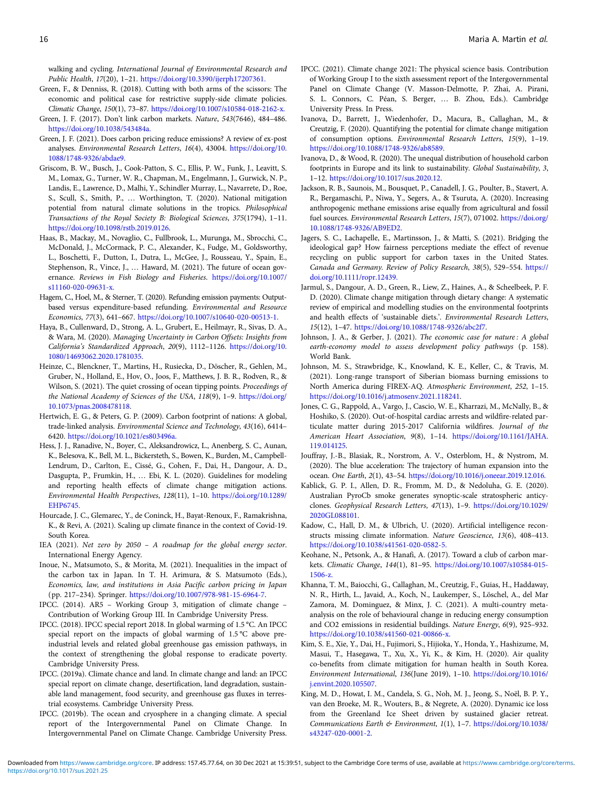<span id="page-15-0"></span>walking and cycling. International Journal of Environmental Research and Public Health, 17(20), 1–21. <https://doi.org/10.3390/ijerph17207361.>

- Green, F., & Denniss, R. (2018). Cutting with both arms of the scissors: The economic and political case for restrictive supply-side climate policies. Climatic Change, 150(1), 73–87. <https://doi.org/10.1007/s10584-018-2162-x.>
- Green, J. F. (2017). Don't link carbon markets. Nature, 543(7646), 484–486. <https://doi.org/10.1038/543484a.>
- Green, J. F. (2021). Does carbon pricing reduce emissions? A review of ex-post analyses. Environmental Research Letters, 16(4), 43004. [https://doi.org/10.](https://doi.org/10.1088/1748-9326/abdae9.) [1088/1748-9326/abdae9.](https://doi.org/10.1088/1748-9326/abdae9.)
- Griscom, B. W., Busch, J., Cook-Patton, S. C., Ellis, P. W., Funk, J., Leavitt, S. M., Lomax, G., Turner, W. R., Chapman, M., Engelmann, J., Gurwick, N. P., Landis, E., Lawrence, D., Malhi, Y., Schindler Murray, L., Navarrete, D., Roe, S., Scull, S., Smith, P., … Worthington, T. (2020). National mitigation potential from natural climate solutions in the tropics. Philosophical Transactions of the Royal Society B: Biological Sciences, 375(1794), 1–11. <https://doi.org/10.1098/rstb.2019.0126>.
- Haas, B., Mackay, M., Novaglio, C., Fullbrook, L., Murunga, M., Sbrocchi, C., McDonald, J., McCormack, P. C., Alexander, K., Fudge, M., Goldsworthy, L., Boschetti, F., Dutton, I., Dutra, L., McGee, J., Rousseau, Y., Spain, E., Stephenson, R., Vince, J., … Haward, M. (2021). The future of ocean governance. Reviews in Fish Biology and Fisheries. [https://doi.org/10.1007/](https://doi.org/10.1007/s11160-020-09631-x.) [s11160-020-09631-x.](https://doi.org/10.1007/s11160-020-09631-x.)
- Hagem, C., Hoel, M., & Sterner, T. (2020). Refunding emission payments: Outputbased versus expenditure-based refunding. Environmental and Resource Economics, 77(3), 641–667. <https://doi.org/10.1007/s10640-020-00513-1.>
- Haya, B., Cullenward, D., Strong, A. L., Grubert, E., Heilmayr, R., Sivas, D. A., & Wara, M. (2020). Managing Uncertainty in Carbon Offsets: Insights from California's Standardized Approach, 20(9), 1112–1126. [https://doi.org/10.](https://doi.org/10.1080/14693062.2020.1781035.) [1080/14693062.2020.1781035.](https://doi.org/10.1080/14693062.2020.1781035.)
- Heinze, C., Blenckner, T., Martins, H., Rusiecka, D., Döscher, R., Gehlen, M., Gruber, N., Holland, E., Hov, O., Joos, F., Matthews, J. B. R., Rodven, R., & Wilson, S. (2021). The quiet crossing of ocean tipping points. Proceedings of the National Academy of Sciences of the USA, 118(9), 1–9. [https://doi.org/](https://doi.org/10.1073/pnas.2008478118) [10.1073/pnas.2008478118.](https://doi.org/10.1073/pnas.2008478118)
- Hertwich, E. G., & Peters, G. P. (2009). Carbon footprint of nations: A global, trade-linked analysis. Environmental Science and Technology, 43(16), 6414– 6420. <https://doi.org/10.1021/es803496a.>
- Hess, J. J., Ranadive, N., Boyer, C., Aleksandrowicz, L., Anenberg, S. C., Aunan, K., Belesova, K., Bell, M. L., Bickersteth, S., Bowen, K., Burden, M., Campbell-Lendrum, D., Carlton, E., Cissé, G., Cohen, F., Dai, H., Dangour, A. D., Dasgupta, P., Frumkin, H., … Ebi, K. L. (2020). Guidelines for modeling and reporting health effects of climate change mitigation actions. Environmental Health Perspectives, 128(11), 1–10. [https://doi.org/10.1289/](https://doi.org/10.1289/EHP6745.) [EHP6745.](https://doi.org/10.1289/EHP6745.)
- Hourcade, J. C., Glemarec, Y., de Coninck, H., Bayat-Renoux, F., Ramakrishna, K., & Revi, A. (2021). Scaling up climate finance in the context of Covid-19. South Korea.
- IEA (2021). Net zero by 2050 A roadmap for the global energy sector. International Energy Agency.
- Inoue, N., Matsumoto, S., & Morita, M. (2021). Inequalities in the impact of the carbon tax in Japan. In T. H. Arimura, & S. Matsumoto (Eds.), Economics, law, and institutions in Asia Pacific carbon pricing in Japan (pp. 217–234). Springer. [https://doi.org/10.1007/978-981-15-6964-7.](https://doi.org/10.1007/978-981-15-6964-7)
- IPCC. (2014). AR5 Working Group 3, mitigation of climate change Contribution of Working Group III. In Cambridge University Press.
- IPCC. (2018). IPCC special report 2018. In global warming of 1.5 °C. An IPCC special report on the impacts of global warming of 1.5 °C above preindustrial levels and related global greenhouse gas emission pathways, in the context of strengthening the global response to eradicate poverty. Cambridge University Press.
- IPCC. (2019a). Climate chance and land. In climate change and land: an IPCC special report on climate change, desertification, land degradation, sustainable land management, food security, and greenhouse gas fluxes in terrestrial ecosystems. Cambridge University Press.
- IPCC. (2019b). The ocean and cryosphere in a changing climate. A special report of the Intergovernmental Panel on Climate Change. In Intergovernmental Panel on Climate Change. Cambridge University Press.
- IPCC. (2021). Climate change 2021: The physical science basis. Contribution of Working Group I to the sixth assessment report of the Intergovernmental Panel on Climate Change (V. Masson-Delmotte, P. Zhai, A. Pirani, S. L. Connors, C. Péan, S. Berger, … B. Zhou, Eds.). Cambridge University Press. In Press.
- Ivanova, D., Barrett, J., Wiedenhofer, D., Macura, B., Callaghan, M., & Creutzig, F. (2020). Quantifying the potential for climate change mitigation of consumption options. Environmental Research Letters, 15(9), 1–19. <https://doi.org/10.1088/1748-9326/ab8589>.
- Ivanova, D., & Wood, R. (2020). The unequal distribution of household carbon footprints in Europe and its link to sustainability. Global Sustainability, 3, 1–12. [https://doi.org/10.1017/sus.2020.12.](https://doi.org/10.1017/sus.2020.12)
- Jackson, R. B., Saunois, M., Bousquet, P., Canadell, J. G., Poulter, B., Stavert, A. R., Bergamaschi, P., Niwa, Y., Segers, A., & Tsuruta, A. (2020). Increasing anthropogenic methane emissions arise equally from agricultural and fossil fuel sources. Environmental Research Letters, 15(7), 071002. [https://doi.org/](https://doi.org/10.1088/1748-9326/AB9ED2.) [10.1088/1748-9326/AB9ED2.](https://doi.org/10.1088/1748-9326/AB9ED2.)
- Jagers, S. C., Lachapelle, E., Martinsson, J., & Matti, S. (2021). Bridging the ideological gap? How fairness perceptions mediate the effect of revenue recycling on public support for carbon taxes in the United States. Canada and Germany. Review of Policy Research, 38(5), 529–554. [https://](https://doi.org/10.1111/ropr.12439.) [doi.org/10.1111/ropr.12439.](https://doi.org/10.1111/ropr.12439.)
- Jarmul, S., Dangour, A. D., Green, R., Liew, Z., Haines, A., & Scheelbeek, P. F. D. (2020). Climate change mitigation through dietary change: A systematic review of empirical and modelling studies on the environmental footprints and health effects of 'sustainable diets.'. Environmental Research Letters, 15(12), 1–47. <https://doi.org/10.1088/1748-9326/abc2f7>.
- Johnson, J. A., & Gerber, J. (2021). The economic case for nature : A global earth-economy model to assess development policy pathways (p. 158). World Bank.
- Johnson, M. S., Strawbridge, K., Knowland, K. E., Keller, C., & Travis, M. (2021). Long-range transport of Siberian biomass burning emissions to North America during FIREX-AQ. Atmospheric Environment, 252, 1–15. [https://doi.org/10.1016/j.atmosenv.2021.118241.](https://doi.org/10.1016/j.atmosenv.2021.118241)
- Jones, C. G., Rappold, A., Vargo, J., Cascio, W. E., Kharrazi, M., McNally, B., & Hoshiko, S. (2020). Out-of-hospital cardiac arrests and wildfire-related particulate matter during 2015-2017 California wildfires. Journal of the American Heart Association, 9(8), 1–14. [https://doi.org/10.1161/JAHA.](https://doi.org/10.1161/JAHA.119.014125) [119.014125](https://doi.org/10.1161/JAHA.119.014125).
- Jouffray, J.-B., Blasiak, R., Norstrom, A. V., Osterblom, H., & Nystrom, M. (2020). The blue acceleration: The trajectory of human expansion into the ocean. One Earth, 2(1), 43–54. <https://doi.org/10.1016/j.oneear.2019.12.016.>
- Kablick, G. P. I., Allen, D. R., Fromm, M. D., & Nedoluha, G. E. (2020). Australian PyroCb smoke generates synoptic-scale stratospheric anticyclones. Geophysical Research Letters, 47(13), 1–9. [https://doi.org/10.1029/](https://doi.org/10.1029/2020GL088101) [2020GL088101](https://doi.org/10.1029/2020GL088101).
- Kadow, C., Hall, D. M., & Ulbrich, U. (2020). Artificial intelligence reconstructs missing climate information. Nature Geoscience, 13(6), 408–413. <https://doi.org/10.1038/s41561-020-0582-5.>
- Keohane, N., Petsonk, A., & Hanafi, A. (2017). Toward a club of carbon markets. Climatic Change, 144(1), 81–95. [https://doi.org/10.1007/s10584-015-](https://doi.org/10.1007/s10584-015-1506-z.) [1506-z.](https://doi.org/10.1007/s10584-015-1506-z.)
- Khanna, T. M., Baiocchi, G., Callaghan, M., Creutzig, F., Guias, H., Haddaway, N. R., Hirth, L., Javaid, A., Koch, N., Laukemper, S., Löschel, A., del Mar Zamora, M. Dominguez, & Minx, J. C. (2021). A multi-country metaanalysis on the role of behavioural change in reducing energy consumption and CO2 emissions in residential buildings. Nature Energy, 6(9), 925–932. <https://doi.org/10.1038/s41560-021-00866-x.>
- Kim, S. E., Xie, Y., Dai, H., Fujimori, S., Hijioka, Y., Honda, Y., Hashizume, M, Masui, T., Hasegawa, T., Xu, X., Yi, K., & Kim, H. (2020). Air quality co-benefits from climate mitigation for human health in South Korea. Environment International, 136(June 2019), 1–10. [https://doi.org/10.1016/](https://doi.org/10.1016/j.envint.2020.105507) [j.envint.2020.105507.](https://doi.org/10.1016/j.envint.2020.105507)
- King, M. D., Howat, I. M., Candela, S. G., Noh, M. J., Jeong, S., Noël, B. P. Y., van den Broeke, M. R., Wouters, B., & Negrete, A. (2020). Dynamic ice loss from the Greenland Ice Sheet driven by sustained glacier retreat. Communications Earth & Environment, 1(1), 1–7. [https://doi.org/10.1038/](https://doi.org/10.1038/s43247-020-0001-2) [s43247-020-0001-2](https://doi.org/10.1038/s43247-020-0001-2).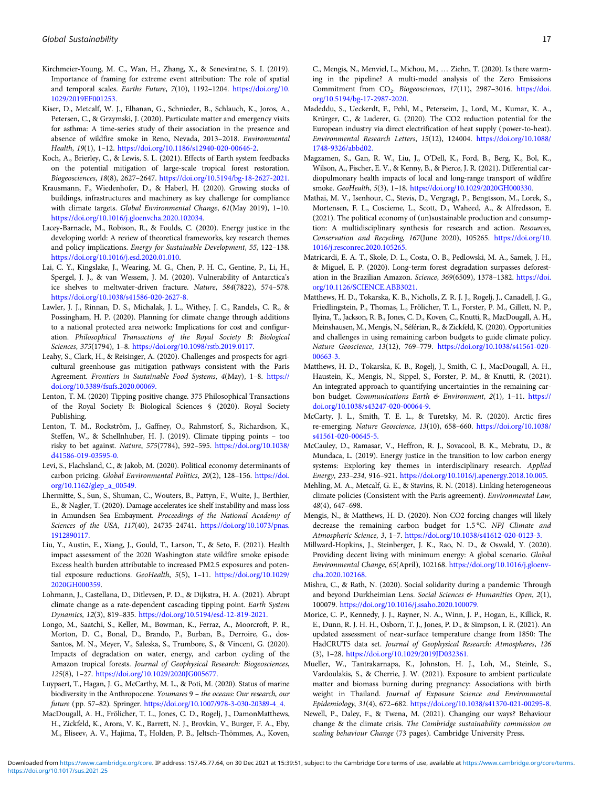- <span id="page-16-0"></span>Kirchmeier-Young, M. C., Wan, H., Zhang, X., & Seneviratne, S. I. (2019). Importance of framing for extreme event attribution: The role of spatial and temporal scales. Earths Future, 7(10), 1192–1204. [https://doi.org/10.](https://doi.org/10.1029/2019EF001253.) [1029/2019EF001253.](https://doi.org/10.1029/2019EF001253.)
- Kiser, D., Metcalf, W. J., Elhanan, G., Schnieder, B., Schlauch, K., Joros, A., Petersen, C., & Grzymski, J. (2020). Particulate matter and emergency visits for asthma: A time-series study of their association in the presence and absence of wildfire smoke in Reno, Nevada, 2013–2018. Environmental Health, 19(1), 1–12. [https://doi.org/10.1186/s12940-020-00646-2.](https://doi.org/10.1186/s12940-020-00646-2)
- Koch, A., Brierley, C., & Lewis, S. L. (2021). Effects of Earth system feedbacks on the potential mitigation of large-scale tropical forest restoration. Biogeosciences, 18(8), 2627–2647. <https://doi.org/10.5194/bg-18-2627-2021.>
- Krausmann, F., Wiedenhofer, D., & Haberl, H. (2020). Growing stocks of buildings, infrastructures and machinery as key challenge for compliance with climate targets. Global Environmental Change, 61(May 2019), 1–10. <https://doi.org/10.1016/j.gloenvcha.2020.102034>.
- Lacey-Barnacle, M., Robison, R., & Foulds, C. (2020). Energy justice in the developing world: A review of theoretical frameworks, key research themes and policy implications. Energy for Sustainable Development, 55, 122–138. [https://doi.org/10.1016/j.esd.2020.01.010.](https://doi.org/10.1016/j.esd.2020.01.010)
- Lai, C. Y., Kingslake, J., Wearing, M. G., Chen, P. H. C., Gentine, P., Li, H., Spergel, J. J., & van Wessem, J. M. (2020). Vulnerability of Antarctica's ice shelves to meltwater-driven fracture. Nature, 584(7822), 574–578. <https://doi.org/10.1038/s41586-020-2627-8.>
- Lawler, J. J., Rinnan, D. S., Michalak, J. L., Withey, J. C., Randels, C. R., & Possingham, H. P. (2020). Planning for climate change through additions to a national protected area network: Implications for cost and configuration. Philosophical Transactions of the Royal Society B: Biological Sciences, 375(1794), 1–8. [https://doi.org/10.1098/rstb.2019.0117.](https://doi.org/10.1098/rstb.2019.0117)
- Leahy, S., Clark, H., & Reisinger, A. (2020). Challenges and prospects for agricultural greenhouse gas mitigation pathways consistent with the Paris Agreement. Frontiers in Sustainable Food Systems, 4(May), 1–8. [https://](https://doi.org/10.3389/fsufs.2020.00069.) [doi.org/10.3389/fsufs.2020.00069.](https://doi.org/10.3389/fsufs.2020.00069.)
- Lenton, T. M. (2020) Tipping positive change. 375 Philosophical Transactions of the Royal Society B: Biological Sciences § (2020). Royal Society Publishing.
- Lenton, T. M., Rockström, J., Gaffney, O., Rahmstorf, S., Richardson, K., Steffen, W., & Schellnhuber, H. J. (2019). Climate tipping points – too risky to bet against. Nature, 575(7784), 592–595. [https://doi.org/10.1038/](https://doi.org/10.1038/d41586-019-03595-0.) [d41586-019-03595-0.](https://doi.org/10.1038/d41586-019-03595-0.)
- Levi, S., Flachsland, C., & Jakob, M. (2020). Political economy determinants of carbon pricing. Global Environmental Politics, 20(2), 128–156. [https://doi.](https://doi.org/10.1162/glep_a_00549.) [org/10.1162/glep\\_a\\_00549.](https://doi.org/10.1162/glep_a_00549.)
- Lhermitte, S., Sun, S., Shuman, C., Wouters, B., Pattyn, F., Wuite, J., Berthier, E., & Nagler, T. (2020). Damage accelerates ice shelf instability and mass loss in Amundsen Sea Embayment. Proceedings of the National Academy of Sciences of the USA, 117(40), 24735-24741. [https://doi.org/10.1073/pnas.](https://doi.org/10.1073/pnas.1912890117.) [1912890117.](https://doi.org/10.1073/pnas.1912890117.)
- Liu, Y., Austin, E., Xiang, J., Gould, T., Larson, T., & Seto, E. (2021). Health impact assessment of the 2020 Washington state wildfire smoke episode: Excess health burden attributable to increased PM2.5 exposures and potential exposure reductions. GeoHealth, 5(5), 1-11. [https://doi.org/10.1029/](https://doi.org/10.1029/2020GH000359) [2020GH000359](https://doi.org/10.1029/2020GH000359).
- Lohmann, J., Castellana, D., Ditlevsen, P. D., & Dijkstra, H. A. (2021). Abrupt climate change as a rate-dependent cascading tipping point. Earth System Dynamics, 12(3), 819–835. <https://doi.org/10.5194/esd-12-819-2021.>
- Longo, M., Saatchi, S., Keller, M., Bowman, K., Ferraz, A., Moorcroft, P. R., Morton, D. C., Bonal, D., Brando, P., Burban, B., Derroire, G., dos-Santos, M. N., Meyer, V., Saleska, S., Trumbore, S., & Vincent, G. (2020). Impacts of degradation on water, energy, and carbon cycling of the Amazon tropical forests. Journal of Geophysical Research: Biogeosciences, 125(8), 1–27. <https://doi.org/10.1029/2020JG005677.>
- Luypaert, T., Hagan, J. G., McCarthy, M. L., & Poti, M. (2020). Status of marine biodiversity in the Anthropocene. Youmares 9 – the oceans: Our research, our future (pp. 57–82). Springer. [https://doi.org/10.1007/978-3-030-20389-4\\_4.](https://doi.org/10.1007/978-3-030-20389-4_4)
- MacDougall, A. H., Frölicher, T. L., Jones, C. D., Rogelj, J., DamonMatthews, H., Zickfeld, K., Arora, V. K., Barrett, N. J., Brovkin, V., Burger, F. A., Eby, M., Eliseev, A. V., Hajima, T., Holden, P. B., Jeltsch-Thömmes, A., Koven,

C., Mengis, N., Menviel, L., Michou, M., … Ziehn, T. (2020). Is there warming in the pipeline? A multi-model analysis of the Zero Emissions Commitment from CO<sub>2</sub>. Biogeosciences, 17(11), 2987-3016. [https://doi.](https://doi.org/10.5194/bg-17-2987-2020) [org/10.5194/bg-17-2987-2020.](https://doi.org/10.5194/bg-17-2987-2020)

- Madeddu, S., Ueckerdt, F., Pehl, M., Peterseim, J., Lord, M., Kumar, K. A., Krürger, C., & Luderer, G. (2020). The CO2 reduction potential for the European industry via direct electrification of heat supply (power-to-heat). Environmental Research Letters, 15(12), 124004. [https://doi.org/10.1088/](https://doi.org/10.1088/1748-9326/abbd02.) [1748-9326/abbd02.](https://doi.org/10.1088/1748-9326/abbd02.)
- Magzamen, S., Gan, R. W., Liu, J., O'Dell, K., Ford, B., Berg, K., Bol, K., Wilson, A., Fischer, E. V., & Kenny, B., & Pierce, J. R. (2021). Differential cardiopulmonary health impacts of local and long-range transport of wildfire smoke. GeoHealth, 5(3), 1-18. [https://doi.org/10.1029/2020GH000330.](https://doi.org/10.1029/2020GH000330)
- Mathai, M. V., Isenhour, C., Stevis, D., Vergragt, P., Bengtsson, M., Lorek, S., Mortensen, F. L., Coscieme, L., Scott, D., Waheed, A., & Alfredsson, E. (2021). The political economy of (un)sustainable production and consumption: A multidisciplinary synthesis for research and action. Resources, Conservation and Recycling, 167(June 2020), 105265. [https://doi.org/10.](https://doi.org/10.1016/j.resconrec.2020.105265) [1016/j.resconrec.2020.105265](https://doi.org/10.1016/j.resconrec.2020.105265).
- Matricardi, E. A. T., Skole, D. L., Costa, O. B., Pedlowski, M. A., Samek, J. H., & Miguel, E. P. (2020). Long-term forest degradation surpasses deforestation in the Brazilian Amazon. Science, 369(6509), 1378-1382. [https://doi.](https://doi.org/10.1126/SCIENCE.ABB3021.) [org/10.1126/SCIENCE.ABB3021.](https://doi.org/10.1126/SCIENCE.ABB3021.)
- Matthews, H. D., Tokarska, K. B., Nicholls, Z. R. J. J., Rogelj, J., Canadell, J. G., Friedlingstein, P., Thomas, L., Frölicher, T. L., Forster, P. M., Gillett, N. P., Ilyina, T., Jackson, R. B., Jones, C. D., Koven, C., Knutti, R., MacDougall, A. H., Meinshausen, M., Mengis, N., Séférian, R., & Zickfeld, K. (2020). Opportunities and challenges in using remaining carbon budgets to guide climate policy. Nature Geoscience, 13(12), 769–779. [https://doi.org/10.1038/s41561-020-](https://doi.org/10.1038/s41561-020-00663-3.) [00663-3.](https://doi.org/10.1038/s41561-020-00663-3.)
- Matthews, H. D., Tokarska, K. B., Rogelj, J., Smith, C. J., MacDougall, A. H., Haustein, K., Mengis, N., Sippel, S., Forster, P. M., & Knutti, R. (2021). An integrated approach to quantifying uncertainties in the remaining carbon budget. Communications Earth & Environment, 2(1), 1-11. [https://](https://doi.org/10.1038/s43247-020-00064-9.) [doi.org/10.1038/s43247-020-00064-9.](https://doi.org/10.1038/s43247-020-00064-9.)
- McCarty, J. L., Smith, T. E. L., & Turetsky, M. R. (2020). Arctic fires re-emerging. Nature Geoscience, 13(10), 658–660. [https://doi.org/10.1038/](https://doi.org/10.1038/s41561-020-00645-5.) [s41561-020-00645-5.](https://doi.org/10.1038/s41561-020-00645-5.)
- McCauley, D., Ramasar, V., Heffron, R. J., Sovacool, B. K., Mebratu, D., & Mundaca, L. (2019). Energy justice in the transition to low carbon energy systems: Exploring key themes in interdisciplinary research. Applied Energy, 233–234, 916–921. <https://doi.org/10.1016/j.apenergy.2018.10.005>.
- Mehling, M. A., Metcalf, G. E., & Stavins, R. N. (2018). Linking heterogeneous climate policies (Consistent with the Paris agreement). Environmental Law, 48(4), 647–698.
- Mengis, N., & Matthews, H. D. (2020). Non-CO2 forcing changes will likely decrease the remaining carbon budget for 1.5 °C. NPJ Climate and Atmospheric Science, 3, 1–7. <https://doi.org/10.1038/s41612-020-0123-3.>
- Millward-Hopkins, J., Steinberger, J. K., Rao, N. D., & Oswald, Y. (2020). Providing decent living with minimum energy: A global scenario. Global Environmental Change, 65(April), 102168. [https://doi.org/10.1016/j.gloenv](https://doi.org/10.1016/j.gloenvcha.2020.102168.)[cha.2020.102168.](https://doi.org/10.1016/j.gloenvcha.2020.102168.)
- Mishra, C., & Rath, N. (2020). Social solidarity during a pandemic: Through and beyond Durkheimian Lens. Social Sciences & Humanities Open, 2(1), 100079. <https://doi.org/10.1016/j.ssaho.2020.100079.>
- Morice, C. P., Kennedy, J. J., Rayner, N. A., Winn, J. P., Hogan, E., Killick, R. E., Dunn, R. J. H. H., Osborn, T. J., Jones, P. D., & Simpson, I. R. (2021). An updated assessment of near-surface temperature change from 1850: The HadCRUT5 data set. Journal of Geophysical Research: Atmospheres, 126 (3), 1–28. <https://doi.org/10.1029/2019JD032361.>
- Mueller, W., Tantrakarnapa, K., Johnston, H. J., Loh, M., Steinle, S., Vardoulakis, S., & Cherrie, J. W. (2021). Exposure to ambient particulate matter and biomass burning during pregnancy: Associations with birth weight in Thailand. Journal of Exposure Science and Environmental Epidemiology, 31(4), 672–682. [https://doi.org/10.1038/s41370-021-00295-8.](https://doi.org/10.1038/s41370-021-00295-8)
- Newell, P., Daley, F., & Twena, M. (2021). Changing our ways? Behaviour change & the climate crisis. The Cambridge sustainability commission on scaling behaviour Change (73 pages). Cambridge University Press.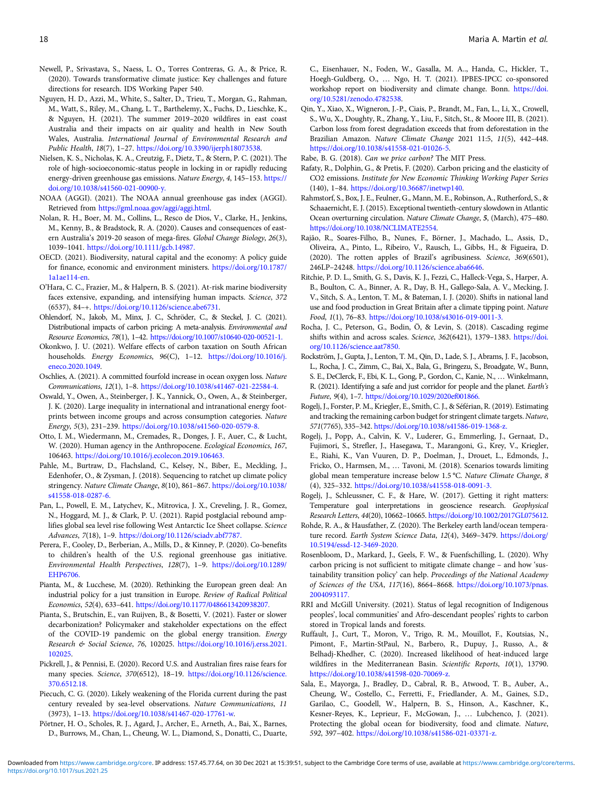- <span id="page-17-0"></span>Newell, P., Srivastava, S., Naess, L. O., Torres Contreras, G. A., & Price, R. (2020). Towards transformative climate justice: Key challenges and future directions for research. IDS Working Paper 540.
- Nguyen, H. D., Azzi, M., White, S., Salter, D., Trieu, T., Morgan, G., Rahman, M., Watt, S., Riley, M., Chang, L. T., Barthelemy, X., Fuchs, D., Lieschke, K., & Nguyen, H. (2021). The summer 2019–2020 wildfires in east coast Australia and their impacts on air quality and health in New South Wales, Australia. International Journal of Environmental Research and Public Health, 18(7), 1–27. <https://doi.org/10.3390/ijerph18073538>.
- Nielsen, K. S., Nicholas, K. A., Creutzig, F., Dietz, T., & Stern, P. C. (2021). The role of high-socioeconomic-status people in locking in or rapidly reducing energy-driven greenhouse gas emissions. Nature Energy, 4, 145–153. [https://](https://doi.org/10.1038/s41560-021-00900-y.) [doi.org/10.1038/s41560-021-00900-y.](https://doi.org/10.1038/s41560-021-00900-y.)
- NOAA (AGGI). (2021). The NOAA annual greenhouse gas index (AGGI). Retrieved from <https://gml.noaa.gov/aggi/aggi.html>.
- Nolan, R. H., Boer, M. M., Collins, L., Resco de Dios, V., Clarke, H., Jenkins, M., Kenny, B., & Bradstock, R. A. (2020). Causes and consequences of eastern Australia's 2019-20 season of mega-fires. Global Change Biology, 26(3), 1039–1041. <https://doi.org/10.1111/gcb.14987.>
- OECD. (2021). Biodiversity, natural capital and the economy: A policy guide for finance, economic and environment ministers. [https://doi.org/10.1787/](https://doi.org/10.1787/1a1ae114-en) [1a1ae114-en.](https://doi.org/10.1787/1a1ae114-en)
- O'Hara, C. C., Frazier, M., & Halpern, B. S. (2021). At-risk marine biodiversity faces extensive, expanding, and intensifying human impacts. Science, 372 (6537), 84–+. <https://doi.org/10.1126/science.abe6731>.
- Ohlendorf, N., Jakob, M., Minx, J. C., Schröder, C., & Steckel, J. C. (2021). Distributional impacts of carbon pricing: A meta-analysis. Environmental and Resource Economics, 78(1), 1–42. <https://doi.org/10.1007/s10640-020-00521-1.>
- Okonkwo, J. U. (2021). Welfare effects of carbon taxation on South African households. Energy Economics, 96(C), 1-12. [https://doi.org/10.1016/j.](https://doi.org/10.1016/j.eneco.2020.1049) [eneco.2020.1049](https://doi.org/10.1016/j.eneco.2020.1049).
- Oschlies, A. (2021). A committed fourfold increase in ocean oxygen loss. Nature Communications, 12(1), 1–8. <https://doi.org/10.1038/s41467-021-22584-4.>
- Oswald, Y., Owen, A., Steinberger, J. K., Yannick, O., Owen, A., & Steinberger, J. K. (2020). Large inequality in international and intranational energy footprints between income groups and across consumption categories. Nature Energy, 5(3), 231–239. <https://doi.org/10.1038/s41560-020-0579-8.>
- Otto, I. M., Wiedermann, M., Cremades, R., Donges, J. F., Auer, C., & Lucht, W. (2020). Human agency in the Anthropocene. Ecological Economics, 167, 106463. <https://doi.org/10.1016/j.ecolecon.2019.106463.>
- Pahle, M., Burtraw, D., Flachsland, C., Kelsey, N., Biber, E., Meckling, J., Edenhofer, O., & Zysman, J. (2018). Sequencing to ratchet up climate policy stringency. Nature Climate Change, 8(10), 861–867. [https://doi.org/10.1038/](https://doi.org/10.1038/s41558-018-0287-6.) [s41558-018-0287-6.](https://doi.org/10.1038/s41558-018-0287-6.)
- Pan, L., Powell, E. M., Latychev, K., Mitrovica, J. X., Creveling, J. R., Gomez, N., Hoggard, M. J., & Clark, P. U. (2021). Rapid postglacial rebound amplifies global sea level rise following West Antarctic Ice Sheet collapse. Science Advances, 7(18), 1–9. <https://doi.org/10.1126/sciadv.abf7787.>
- Perera, F., Cooley, D., Berberian, A., Mills, D., & Kinney, P. (2020). Co-benefits to children's health of the U.S. regional greenhouse gas initiative. Environmental Health Perspectives, 128(7), 1–9. [https://doi.org/10.1289/](https://doi.org/10.1289/EHP6706.) [EHP6706.](https://doi.org/10.1289/EHP6706.)
- Pianta, M., & Lucchese, M. (2020). Rethinking the European green deal: An industrial policy for a just transition in Europe. Review of Radical Political Economics, 52(4), 633–641. <https://doi.org/10.1177/0486613420938207.>
- Pianta, S., Brutschin, E., van Ruijven, B., & Bosetti, V. (2021). Faster or slower decarbonization? Policymaker and stakeholder expectations on the effect of the COVID-19 pandemic on the global energy transition. Energy Research & Social Science, 76, 102025. [https://doi.org/10.1016/j.erss.2021.](https://doi.org/10.1016/j.erss.2021.102025) [102025.](https://doi.org/10.1016/j.erss.2021.102025)
- Pickrell, J., & Pennisi, E. (2020). Record U.S. and Australian fires raise fears for many species. Science, 370(6512), 18–19. [https://doi.org/10.1126/science.](https://doi.org/10.1126/science.370.6512.18.) [370.6512.18.](https://doi.org/10.1126/science.370.6512.18.)
- Piecuch, C. G. (2020). Likely weakening of the Florida current during the past century revealed by sea-level observations. Nature Communications, 11 (3973), 1–13. [https://doi.org/10.1038/s41467-020-17761-w.](https://doi.org/10.1038/s41467-020-17761-w)
- Pörtner, H. O., Scholes, R. J., Agard, J., Archer, E., Arneth, A., Bai, X., Barnes, D., Burrows, M., Chan, L., Cheung, W. L., Diamond, S., Donatti, C., Duarte,

C., Eisenhauer, N., Foden, W., Gasalla, M. A.., Handa, C., Hickler, T., Hoegh-Guldberg, O., … Ngo, H. T. (2021). IPBES-IPCC co-sponsored workshop report on biodiversity and climate change. Bonn. [https://doi.](https://doi.org/10.5281/zenodo.4782538) [org/10.5281/zenodo.4782538](https://doi.org/10.5281/zenodo.4782538).

- Qin, Y., Xiao, X., Wigneron, J.-P., Ciais, P., Brandt, M., Fan, L., Li, X., Crowell, S., Wu, X., Doughty, R., Zhang, Y., Liu, F., Sitch, St., & Moore III, B. (2021). Carbon loss from forest degradation exceeds that from deforestation in the Brazilian Amazon. Nature Climate Change 2021 11:5, 11(5), 442–448. [https://doi.org/10.1038/s41558-021-01026-5.](https://doi.org/10.1038/s41558-021-01026-5)
- Rabe, B. G. (2018). Can we price carbon? The MIT Press.
- Rafaty, R., Dolphin, G., & Pretis, F. (2020). Carbon pricing and the elasticity of CO2 emissions. Institute for New Economic Thinking Working Paper Series (140), 1–84. [https://doi.org/10.36687/inetwp140.](https://doi.org/10.36687/inetwp140)
- Rahmstorf, S., Box, J. E., Feulner, G., Mann, M. E., Robinson, A., Rutherford, S., & Schaaernicht, E. J. (2015). Exceptional twentieth-century slowdown in Atlantic Ocean overturning circulation. Nature Climate Change, 5, (March), 475–480. [https://doi.org/10.1038/NCLIMATE2554.](https://doi.org/10.1038/NCLIMATE2554)
- Rajão, R., Soares-Filho, B., Nunes, F., Börner, J., Machado, L., Assis, D., Oliveira, A., Pinto, L., Ribeiro, V., Rausch, L., Gibbs, H., & Figueira, D. (2020). The rotten apples of Brazil's agribusiness. Science, 369(6501), 246LP–24248. <https://doi.org/10.1126/science.aba6646>.
- Ritchie, P. D. L., Smith, G. S., Davis, K. J., Fezzi, C., Halleck-Vega, S., Harper, A. B., Boulton, C. A., Binner, A. R., Day, B. H., Gallego-Sala, A. V., Mecking, J. V., Sitch, S. A., Lenton, T. M., & Bateman, I. J. (2020). Shifts in national land use and food production in Great Britain after a climate tipping point. Nature Food, 1(1), 76–83. <https://doi.org/10.1038/s43016-019-0011-3.>
- Rocha, J. C., Peterson, G., Bodin, Ö, & Levin, S. (2018). Cascading regime shifts within and across scales. Science, 362(6421), 1379–1383. [https://doi.](https://doi.org/10.1126/science.aat7850.) [org/10.1126/science.aat7850.](https://doi.org/10.1126/science.aat7850.)
- Rockström, J., Gupta, J., Lenton, T. M., Qin, D., Lade, S. J., Abrams, J. F., Jacobson, L., Rocha, J. C., Zimm, C., Bai, X., Bala, G., Bringezu, S., Broadgate, W., Bunn, S. E., DeClerck, F., Ebi, K. L., Gong, P., Gordon, C., Kanie, N., … Winkelmann, R. (2021). Identifying a safe and just corridor for people and the planet. Earth's Future, 9(4), 1–7. <https://doi.org/10.1029/2020ef001866.>
- Rogelj, J., Forster, P. M., Kriegler, E., Smith, C. J., & Séférian, R. (2019). Estimating and tracking the remaining carbon budget for stringent climate targets. Nature, 571(7765), 335–342. <https://doi.org/10.1038/s41586-019-1368-z.>
- Rogelj, J., Popp, A., Calvin, K. V., Luderer, G., Emmerling, J., Gernaat, D., Fujimori, S., Strefler, J., Hasegawa, T., Marangoni, G., Krey, V., Kriegler, E., Riahi, K., Van Vuuren, D. P., Doelman, J., Drouet, L., Edmonds, J., Fricko, O., Harmsen, M., … Tavoni, M. (2018). Scenarios towards limiting global mean temperature increase below 1.5 °C. Nature Climate Change, 8 (4), 325–332. <https://doi.org/10.1038/s41558-018-0091-3.>
- Rogelj, J., Schleussner, C. F., & Hare, W. (2017). Getting it right matters: Temperature goal interpretations in geoscience research. Geophysical Research Letters, 44(20), 10662–10665. [https://doi.org/10.1002/2017GL075612.](https://doi.org/10.1002/2017GL075612)
- Rohde, R. A., & Hausfather, Z. (2020). The Berkeley earth land/ocean temperature record. Earth System Science Data, 12(4), 3469-3479. [https://doi.org/](https://doi.org/10.5194/essd-12-3469-2020.) [10.5194/essd-12-3469-2020.](https://doi.org/10.5194/essd-12-3469-2020.)
- Rosenbloom, D., Markard, J., Geels, F. W., & Fuenfschilling, L. (2020). Why carbon pricing is not sufficient to mitigate climate change – and how 'sustainability transition policy' can help. Proceedings of the National Academy of Sciences of the USA, 117(16), 8664–8668. [https://doi.org/10.1073/pnas.](https://doi.org/10.1073/pnas.2004093117.) [2004093117.](https://doi.org/10.1073/pnas.2004093117.)
- RRI and McGill University. (2021). Status of legal recognition of Indigenous peoples', local communities' and Afro-descendant peoples' rights to carbon stored in Tropical lands and forests.
- Ruffault, J., Curt, T., Moron, V., Trigo, R. M., Mouillot, F., Koutsias, N., Pimont, F., Martin-StPaul, N., Barbero, R., Dupuy, J., Russo, A., & Belhadj-Khedher, C. (2020). Increased likelihood of heat-induced large wildfires in the Mediterranean Basin. Scientific Reports, 10(1), 13790. <https://doi.org/10.1038/s41598-020-70069-z.>
- Sala, E., Mayorga, J., Bradley, D., Cabral, R. B., Atwood, T. B., Auber, A., Cheung, W., Costello, C., Ferretti, F., Friedlander, A. M., Gaines, S.D., Garilao, C., Goodell, W., Halpern, B. S., Hinson, A., Kaschner, K., Kesner-Reyes, K., Leprieur, F., McGowan, J., … Lubchenco, J. (2021). Protecting the global ocean for biodiversity, food and climate. Nature, 592, 397–402. <https://doi.org/10.1038/s41586-021-03371-z.>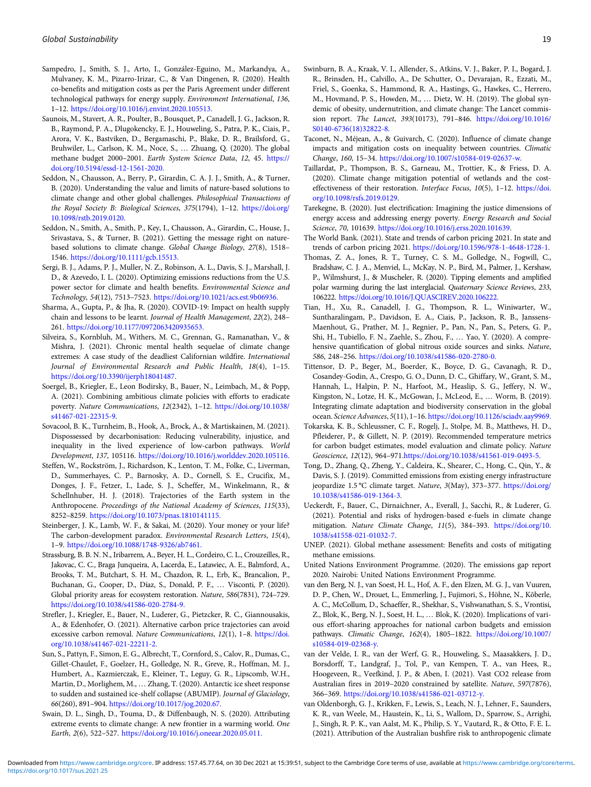- <span id="page-18-0"></span>Sampedro, J., Smith, S. J., Arto, I., González-Eguino, M., Markandya, A., Mulvaney, K. M., Pizarro-Irizar, C., & Van Dingenen, R. (2020). Health co-benefits and mitigation costs as per the Paris Agreement under different technological pathways for energy supply. Environment International, 136, 1–12. <https://doi.org/10.1016/j.envint.2020.105513.>
- Saunois, M., Stavert, A. R., Poulter, B., Bousquet, P., Canadell, J. G., Jackson, R. B., Raymond, P. A., Dlugokencky, E. J., Houweling, S., Patra, P. K., Ciais, P., Arora, V. K., Bastviken, D., Bergamaschi, P., Blake, D. R., Brailsford, G., Bruhwiler, L., Carlson, K. M., Noce, S., … Zhuang, Q. (2020). The global methane budget 2000–2001. Earth System Science Data, 12, 45. [https://](https://doi.org/10.5194/essd-12-1561-2020.) [doi.org/10.5194/essd-12-1561-2020.](https://doi.org/10.5194/essd-12-1561-2020.)
- Seddon, N., Chausson, A., Berry, P., Girardin, C. A. J. J., Smith, A., & Turner, B. (2020). Understanding the value and limits of nature-based solutions to climate change and other global challenges. Philosophical Transactions of the Royal Society B: Biological Sciences, 375(1794), 1-12. [https://doi.org/](https://doi.org/10.1098/rstb.2019.0120.) [10.1098/rstb.2019.0120.](https://doi.org/10.1098/rstb.2019.0120.)
- Seddon, N., Smith, A., Smith, P., Key, I., Chausson, A., Girardin, C., House, J., Srivastava, S., & Turner, B. (2021). Getting the message right on naturebased solutions to climate change. Global Change Biology, 27(8), 1518– 1546. <https://doi.org/10.1111/gcb.15513.>
- Sergi, B. J., Adams, P. J., Muller, N. Z., Robinson, A. L., Davis, S. J., Marshall, J. D., & Azevedo, I. L. (2020). Optimizing emissions reductions from the U.S. power sector for climate and health benefits. Environmental Science and Technology, 54(12), 7513–7523. <https://doi.org/10.1021/acs.est.9b06936.>
- Sharma, A., Gupta, P., & Jha, R. (2020). COVID-19: Impact on health supply chain and lessons to be learnt. Journal of Health Management, 22(2), 248– 261. <https://doi.org/10.1177/0972063420935653.>
- Silveira, S., Kornbluh, M., Withers, M. C., Grennan, G., Ramanathan, V., & Mishra, J. (2021). Chronic mental health sequelae of climate change extremes: A case study of the deadliest Californian wildfire. International Journal of Environmental Research and Public Health, 18(4), 1–15. <https://doi.org/10.3390/ijerph18041487>.
- Soergel, B., Kriegler, E., Leon Bodirsky, B., Bauer, N., Leimbach, M., & Popp, A. (2021). Combining ambitious climate policies with efforts to eradicate poverty. Nature Communications, 12(2342), 1–12. [https://doi.org/10.1038/](https://doi.org/10.1038/s41467-021-22315-9) [s41467-021-22315-9](https://doi.org/10.1038/s41467-021-22315-9).
- Sovacool, B. K., Turnheim, B., Hook, A., Brock, A., & Martiskainen, M. (2021). Dispossessed by decarbonisation: Reducing vulnerability, injustice, and inequality in the lived experience of low-carbon pathways. World Development, 137, 105116. <https://doi.org/10.1016/j.worlddev.2020.105116.>
- Steffen, W., Rockström, J., Richardson, K., Lenton, T. M., Folke, C., Liverman, D., Summerhayes, C. P., Barnosky, A. D., Cornell, S. E., Crucifix, M., Donges, J. F., Fetzer, I., Lade, S. J., Scheffer, M., Winkelmann, R., & Schellnhuber, H. J. (2018). Trajectories of the Earth system in the Anthropocene. Proceedings of the National Academy of Sciences, 115(33), 8252–8259. <https://doi.org/10.1073/pnas.1810141115.>
- Steinberger, J. K., Lamb, W. F., & Sakai, M. (2020). Your money or your life? The carbon-development paradox. Environmental Research Letters, 15(4), 1–9. <https://doi.org/10.1088/1748-9326/ab7461.>
- Strassburg, B. B. N. N., Iribarrem, A., Beyer, H. L., Cordeiro, C. L., Crouzeilles, R., Jakovac, C. C., Braga Junqueira, A, Lacerda, E., Latawiec, A. E., Balmford, A., Brooks, T. M., Butchart, S. H. M., Chazdon, R. L., Erb, K., Brancalion, P., Buchanan, G., Cooper, D., Díaz, S., Donald, P. F., … Visconti, P. (2020). Global priority areas for ecosystem restoration. Nature, 586(7831), 724–729. <https://doi.org/10.1038/s41586-020-2784-9.>
- Strefler, J., Kriegler, E., Bauer, N., Luderer, G., Pietzcker, R. C., Giannousakis, A., & Edenhofer, O. (2021). Alternative carbon price trajectories can avoid excessive carbon removal. Nature Communications, 12(1), 1-8. [https://doi.](https://doi.org/10.1038/s41467-021-22211-2.) [org/10.1038/s41467-021-22211-2.](https://doi.org/10.1038/s41467-021-22211-2.)
- Sun, S., Pattyn, F., Simon, E. G., Albrecht, T., Cornford, S., Calov, R., Dumas, C., Gillet-Chaulet, F., Goelzer, H., Golledge, N. R., Greve, R., Hoffman, M. J., Humbert, A., Kazmierczak, E., Kleiner, T., Leguy, G. R., Lipscomb, W.H., Martin, D., Morlighem, M., … Zhang, T. (2020). Antarctic ice sheet response to sudden and sustained ice-shelf collapse (ABUMIP). Journal of Glaciology, 66(260), 891–904. <https://doi.org/10.1017/jog.2020.67.>
- Swain, D. L., Singh, D., Touma, D., & Diffenbaugh, N. S. (2020). Attributing extreme events to climate change: A new frontier in a warming world. One Earth, 2(6), 522–527. <https://doi.org/10.1016/j.oneear.2020.05.011.>
- Swinburn, B. A., Kraak, V. I., Allender, S., Atkins, V. J., Baker, P. I., Bogard, J. R., Brinsden, H., Calvillo, A., De Schutter, O., Devarajan, R., Ezzati, M., Friel, S., Goenka, S., Hammond, R. A., Hastings, G., Hawkes, C., Herrero, M., Hovmand, P. S., Howden, M., … Dietz, W. H. (2019). The global syndemic of obesity, undernutrition, and climate change: The Lancet commission report. The Lancet, 393(10173), 791–846. [https://doi.org/10.1016/](https://doi.org/10.1016/S0140-6736(18)32822-8.) [S0140-6736\(18\)32822-8.](https://doi.org/10.1016/S0140-6736(18)32822-8.)
- Taconet, N., Méjean, A., & Guivarch, C. (2020). Influence of climate change impacts and mitigation costs on inequality between countries. Climatic Change, 160, 15–34. <https://doi.org/10.1007/s10584-019-02637-w.>
- Taillardat, P., Thompson, B. S., Garneau, M., Trottier, K., & Friess, D. A. (2020). Climate change mitigation potential of wetlands and the costeffectiveness of their restoration. Interface Focus, 10(5), 1-12. [https://doi.](https://doi.org/10.1098/rsfs.2019.0129) [org/10.1098/rsfs.2019.0129.](https://doi.org/10.1098/rsfs.2019.0129)
- Tarekegne, B. (2020). Just electrification: Imagining the justice dimensions of energy access and addressing energy poverty. Energy Research and Social Science, 70, 101639. [https://doi.org/10.1016/j.erss.2020.101639.](https://doi.org/10.1016/j.erss.2020.101639)
- The World Bank. (2021). State and trends of carbon pricing 2021. In state and trends of carbon pricing 2021. [https://doi.org/10.1596/978-1-4648-1728-1.](https://doi.org/10.1596/978-1-4648-1728-1)
- Thomas, Z. A., Jones, R. T., Turney, C. S. M., Golledge, N., Fogwill, C., Bradshaw, C. J. A., Menviel, L., McKay, N. P., Bird, M., Palmer, J., Kershaw, P., Wilmshurst, J., & Muscheler, R. (2020). Tipping elements and amplified polar warming during the last interglacial. Quaternary Science Reviews, 233, 106222. <https://doi.org/10.1016/J.QUASCIREV.2020.106222.>
- Tian, H., Xu, R., Canadell, J. G., Thompson, R. L., Winiwarter, W., Suntharalingam, P., Davidson, E. A., Ciais, P., Jackson, R. B., Janssens-Maenhout, G., Prather, M. J., Regnier, P., Pan, N., Pan, S., Peters, G. P., Shi, H., Tubiello, F. N., Zaehle, S., Zhou, F., … Yao, Y. (2020). A comprehensive quantification of global nitrous oxide sources and sinks. Nature, 586, 248–256. <https://doi.org/10.1038/s41586-020-2780-0.>
- Tittensor, D. P., Beger, M., Boerder, K., Boyce, D. G., Cavanagh, R. D., Cosandey-Godin, A., Crespo, G. O., Dunn, D. C., Ghiffary, W., Grant, S. M., Hannah, L., Halpin, P. N., Harfoot, M., Heaslip, S. G., Jeffery, N. W., Kingston, N., Lotze, H. K., McGowan, J., McLeod, E., … Worm, B. (2019). Integrating climate adaptation and biodiversity conservation in the global ocean. Science Advances, 5(11), 1–16. <https://doi.org/10.1126/sciadv.aay9969.>
- Tokarska, K. B., Schleussner, C. F., Rogelj, J., Stolpe, M. B., Matthews, H. D., Pfleiderer, P., & Gillett, N. P. (2019). Recommended temperature metrics for carbon budget estimates, model evaluation and climate policy. Nature Geoscience, 12(12), 964–971.<https://doi.org/10.1038/s41561-019-0493-5.>
- Tong, D., Zhang, Q., Zheng, Y., Caldeira, K., Shearer, C., Hong, C., Qin, Y., & Davis, S. J. (2019). Committed emissions from existing energy infrastructure jeopardize 1.5 °C climate target. Nature, 3(May), 373–377. [https://doi.org/](https://doi.org/10.1038/s41586-019-1364-3) [10.1038/s41586-019-1364-3](https://doi.org/10.1038/s41586-019-1364-3).
- Ueckerdt, F., Bauer, C., Dirnaichner, A., Everall, J., Sacchi, R., & Luderer, G. (2021). Potential and risks of hydrogen-based e-fuels in climate change mitigation. Nature Climate Change, 11(5), 384–393. [https://doi.org/10.](https://doi.org/10.1038/s41558-021-01032-7.) [1038/s41558-021-01032-7.](https://doi.org/10.1038/s41558-021-01032-7.)
- UNEP. (2021). Global methane assessment: Benefits and costs of mitigating methane emissions.
- United Nations Environment Programme. (2020). The emissions gap report 2020. Nairobi: United Nations Environment Programme.
- van den Berg, N. J., van Soest, H. L., Hof, A. F., den Elzen, M. G. J., van Vuuren, D. P., Chen, W., Drouet, L., Emmerling, J., Fujimori, S., Höhne, N., Kõberle, A. C., McCollum, D., Schaeffer, R., Shekhar, S., Vishwanathan, S. S., Vrontisi, Z., Blok, K., Berg, N. J., Soest, H. L., … Blok, K. (2020). Implications of various effort-sharing approaches for national carbon budgets and emission pathways. Climatic Change, 162(4), 1805–1822. [https://doi.org/10.1007/](https://doi.org/10.1007/s10584-019-02368-y.) [s10584-019-02368-y.](https://doi.org/10.1007/s10584-019-02368-y.)
- van der Velde, I. R., van der Werf, G. R., Houweling, S., Maasakkers, J. D., Borsdorff, T., Landgraf, J., Tol, P., van Kempen, T. A., van Hees, R., Hoogeveen, R., Veefkind, J. P., & Aben, I. (2021). Vast CO2 release from Australian fires in 2019–2020 constrained by satellite. Nature, 597(7876), 366–369. <https://doi.org/10.1038/s41586-021-03712-y.>
- van Oldenborgh, G. J., Krikken, F., Lewis, S., Leach, N. J., Lehner, F., Saunders, K. R., van Weele, M., Haustein, K., Li, S., Wallom, D., Sparrow, S., Arrighi, J., Singh, R. P. K., van Aalst, M. K., Philip, S. Y., Vautard, R., & Otto, F. E. L. (2021). Attribution of the Australian bushfire risk to anthropogenic climate